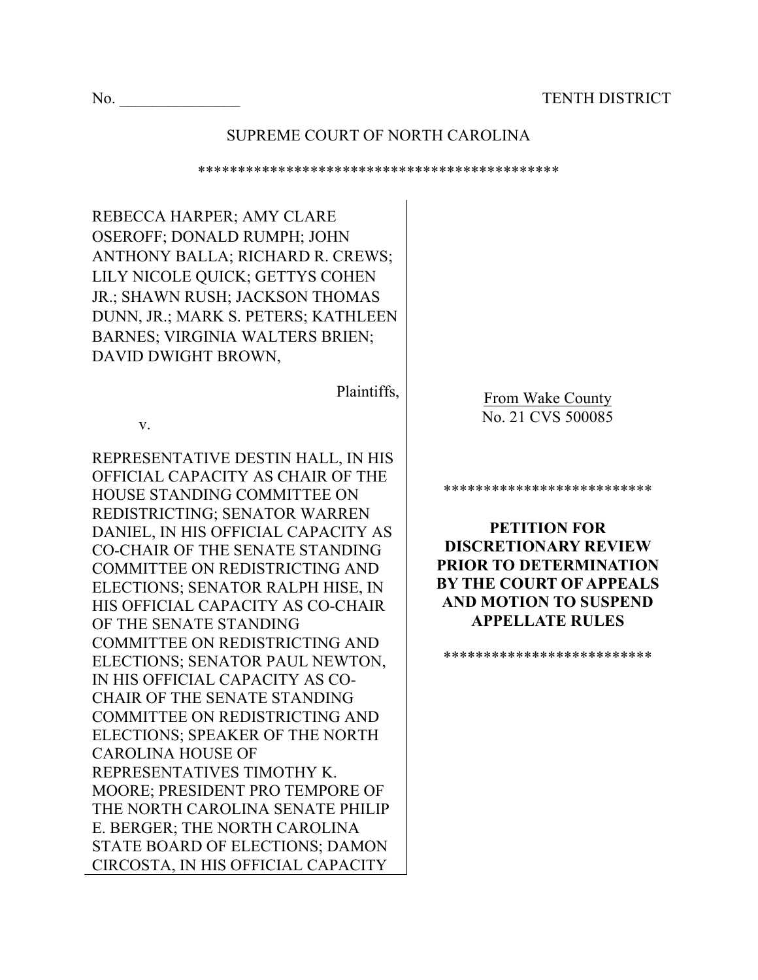#### SUPREME COURT OF NORTH CAROLINA

\*\*\*\*\*\*\*\*\*\*\*\*\*\*\*\*\*\*\*\*\*\*\*\*\*\*\*\*\*\*\*\*\*\*\*\*\*\*\*\*\*\*\*\*\*

REBECCA HARPER; AMY CLARE OSEROFF; DONALD RUMPH; JOHN ANTHONY BALLA; RICHARD R. CREWS; LILY NICOLE QUICK; GETTYS COHEN JR.; SHAWN RUSH; JACKSON THOMAS DUNN, JR.; MARK S. PETERS; KATHLEEN BARNES; VIRGINIA WALTERS BRIEN; DAVID DWIGHT BROWN, Plaintiffs, v. REPRESENTATIVE DESTIN HALL, IN HIS OFFICIAL CAPACITY AS CHAIR OF THE HOUSE STANDING COMMITTEE ON REDISTRICTING; SENATOR WARREN DANIEL, IN HIS OFFICIAL CAPACITY AS CO-CHAIR OF THE SENATE STANDING COMMITTEE ON REDISTRICTING AND ELECTIONS; SENATOR RALPH HISE, IN HIS OFFICIAL CAPACITY AS CO-CHAIR OF THE SENATE STANDING COMMITTEE ON REDISTRICTING AND ELECTIONS; SENATOR PAUL NEWTON, IN HIS OFFICIAL CAPACITY AS CO-CHAIR OF THE SENATE STANDING COMMITTEE ON REDISTRICTING AND ELECTIONS; SPEAKER OF THE NORTH CAROLINA HOUSE OF REPRESENTATIVES TIMOTHY K. MOORE; PRESIDENT PRO TEMPORE OF THE NORTH CAROLINA SENATE PHILIP E. BERGER; THE NORTH CAROLINA STATE BOARD OF ELECTIONS; DAMON CIRCOSTA, IN HIS OFFICIAL CAPACITY From Wake County No. 21 CVS 500085 \*\*\*\*\*\*\*\*\*\*\*\*\*\*\*\*\*\*\*\*\*\*\*\*\*\* **PETITION FOR DISCRETIONARY REVIEW PRIOR TO DETERMINATION BY THE COURT OF APPEALS AND MOTION TO SUSPEND APPELLATE RULES** \*\*\*\*\*\*\*\*\*\*\*\*\*\*\*\*\*\*\*\*\*\*\*\*\*\*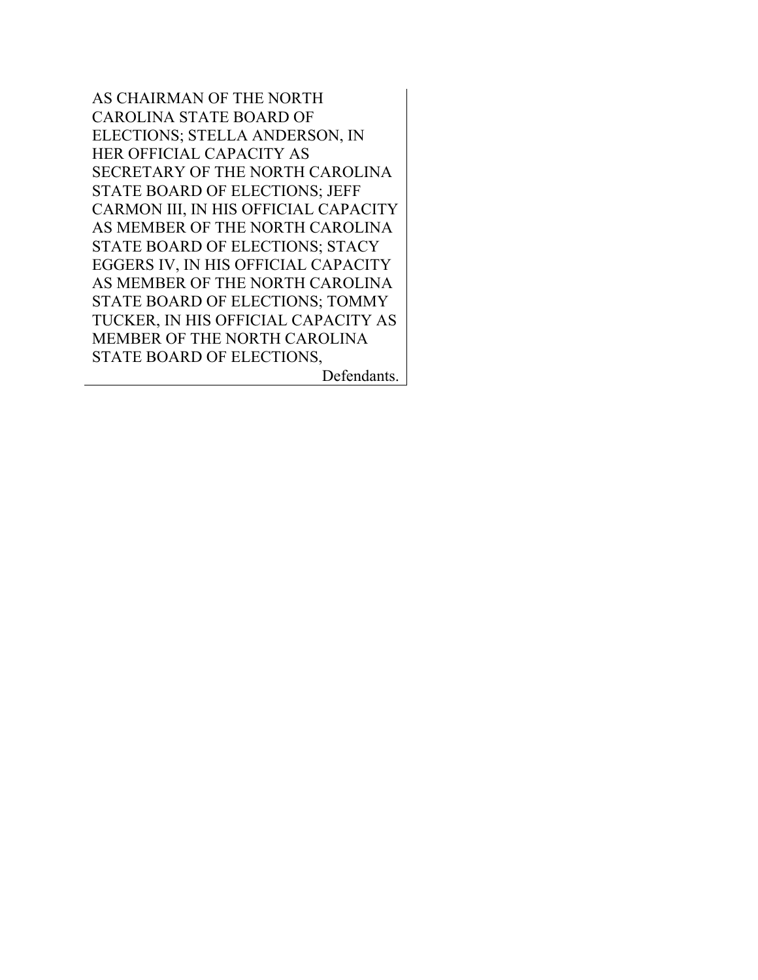AS CHAIRMAN OF THE NORTH CAROLINA STATE BOARD OF ELECTIONS; STELLA ANDERSON, IN HER OFFICIAL CAPACITY AS SECRETARY OF THE NORTH CAROLINA STATE BOARD OF ELECTIONS; JEFF CARMON III, IN HIS OFFICIAL CAPACITY AS MEMBER OF THE NORTH CAROLINA STATE BOARD OF ELECTIONS; STACY EGGERS IV, IN HIS OFFICIAL CAPACITY AS MEMBER OF THE NORTH CAROLINA STATE BOARD OF ELECTIONS; TOMMY TUCKER, IN HIS OFFICIAL CAPACITY AS MEMBER OF THE NORTH CAROLINA STATE BOARD OF ELECTIONS, Defendants.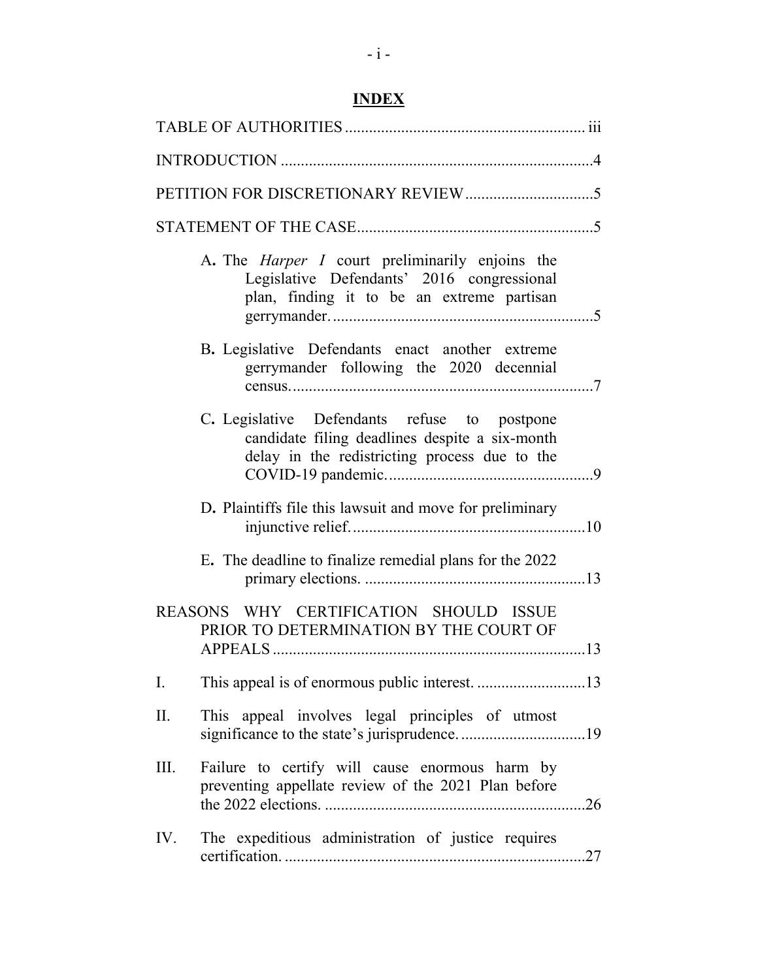# **INDEX**

| A. The <i>Harper I</i> court preliminarily enjoins the<br>Legislative Defendants' 2016 congressional<br>plan, finding it to be an extreme partisan |  |  |  |  |
|----------------------------------------------------------------------------------------------------------------------------------------------------|--|--|--|--|
| B. Legislative Defendants enact another extreme<br>gerrymander following the 2020 decennial                                                        |  |  |  |  |
| C. Legislative Defendants refuse to postpone<br>candidate filing deadlines despite a six-month<br>delay in the redistricting process due to the    |  |  |  |  |
| D. Plaintiffs file this lawsuit and move for preliminary                                                                                           |  |  |  |  |
| E. The deadline to finalize remedial plans for the 2022                                                                                            |  |  |  |  |
| REASONS WHY CERTIFICATION SHOULD ISSUE<br>PRIOR TO DETERMINATION BY THE COURT OF                                                                   |  |  |  |  |
| Ι.                                                                                                                                                 |  |  |  |  |
| Π.<br>This appeal involves legal principles of utmost                                                                                              |  |  |  |  |
| Failure to certify will cause enormous harm by<br>III.<br>preventing appellate review of the 2021 Plan before                                      |  |  |  |  |
| The expeditious administration of justice requires<br>IV.                                                                                          |  |  |  |  |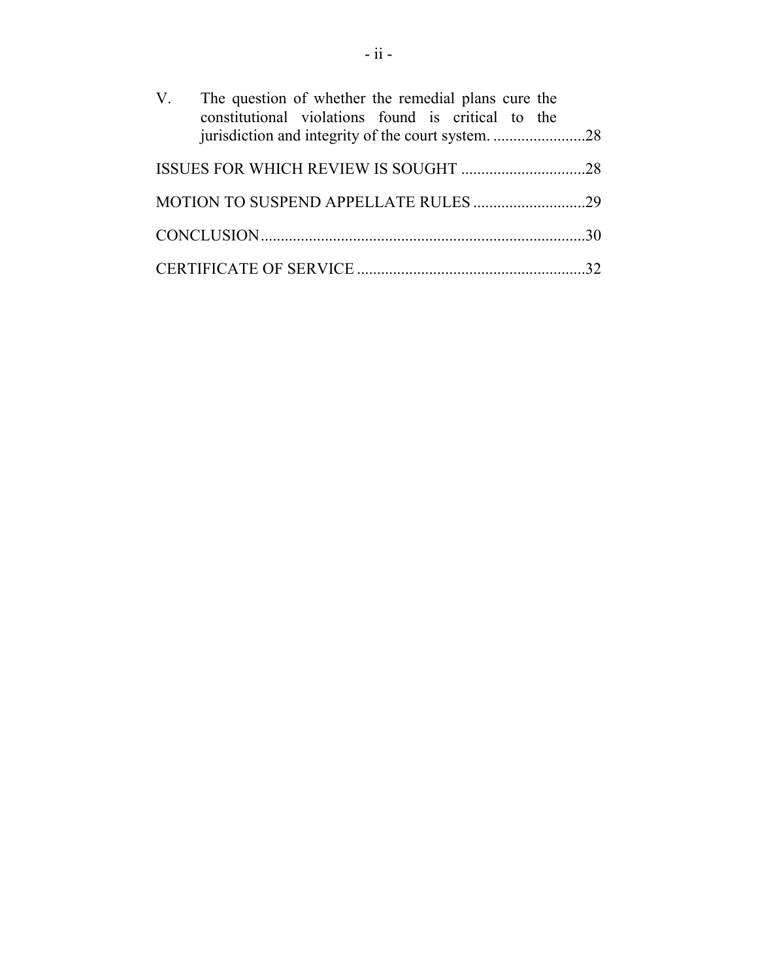| V. The question of whether the remedial plans cure the<br>constitutional violations found is critical to the |  |
|--------------------------------------------------------------------------------------------------------------|--|
|                                                                                                              |  |
|                                                                                                              |  |
|                                                                                                              |  |
|                                                                                                              |  |
|                                                                                                              |  |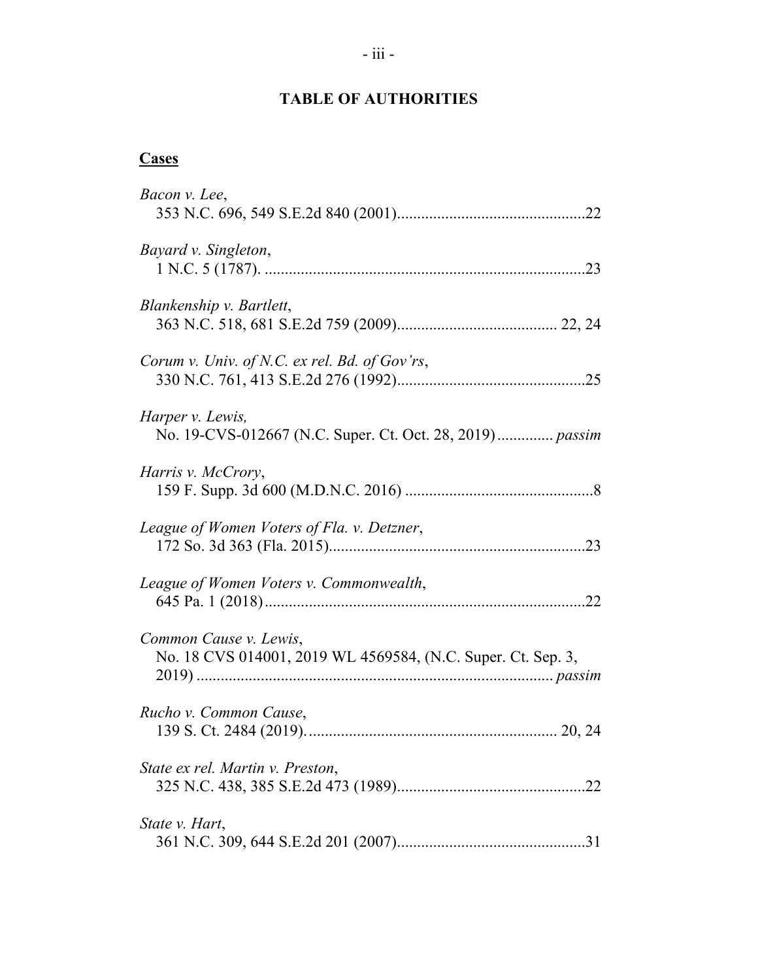# **TABLE OF AUTHORITIES**

# **Cases**

| Bacon v. Lee,                                                                          |
|----------------------------------------------------------------------------------------|
| Bayard v. Singleton,                                                                   |
| Blankenship v. Bartlett,                                                               |
| Corum v. Univ. of N.C. ex rel. Bd. of Gov'rs,                                          |
| Harper v. Lewis,<br>No. 19-CVS-012667 (N.C. Super. Ct. Oct. 28, 2019) passim           |
| Harris v. McCrory,                                                                     |
| League of Women Voters of Fla. v. Detzner,                                             |
| League of Women Voters v. Commonwealth,                                                |
| Common Cause v. Lewis,<br>No. 18 CVS 014001, 2019 WL 4569584, (N.C. Super. Ct. Sep. 3, |
| Rucho v. Common Cause,                                                                 |
| State ex rel. Martin v. Preston,                                                       |
| State v. Hart,                                                                         |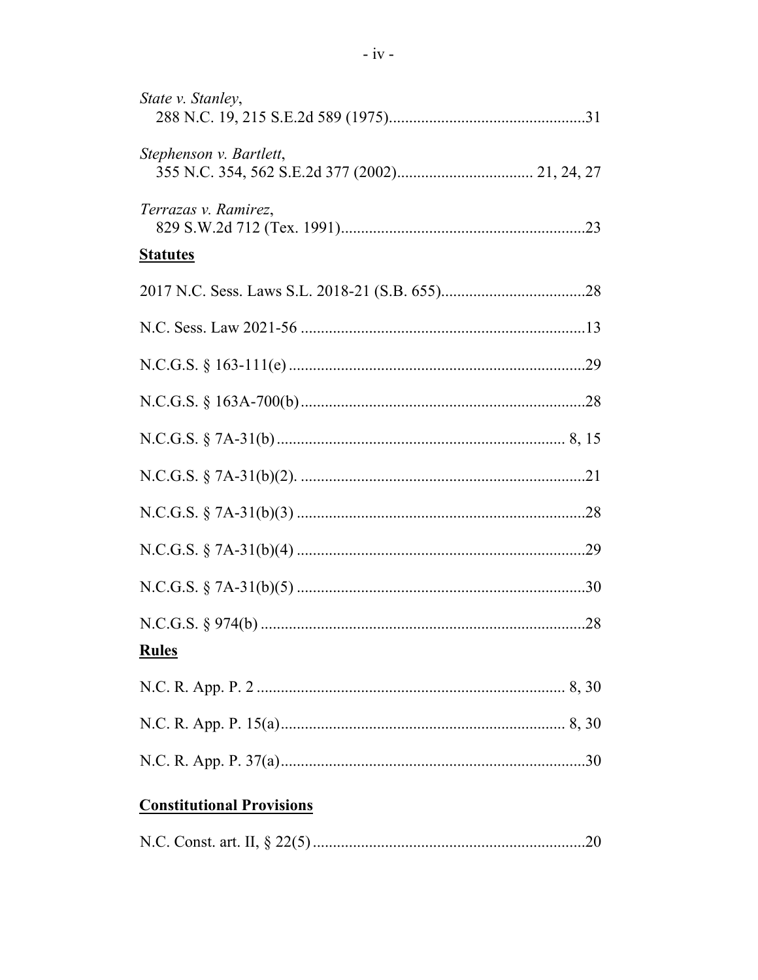| State v. Stanley,       |
|-------------------------|
| Stephenson v. Bartlett, |
| Terrazas v. Ramirez,    |
| <b>Statutes</b>         |
|                         |
|                         |
|                         |
|                         |
|                         |
|                         |
|                         |
|                         |
|                         |
| <b>Rules</b>            |
|                         |
|                         |
|                         |

# **Constitutional Provisions**

|--|--|--|--|--|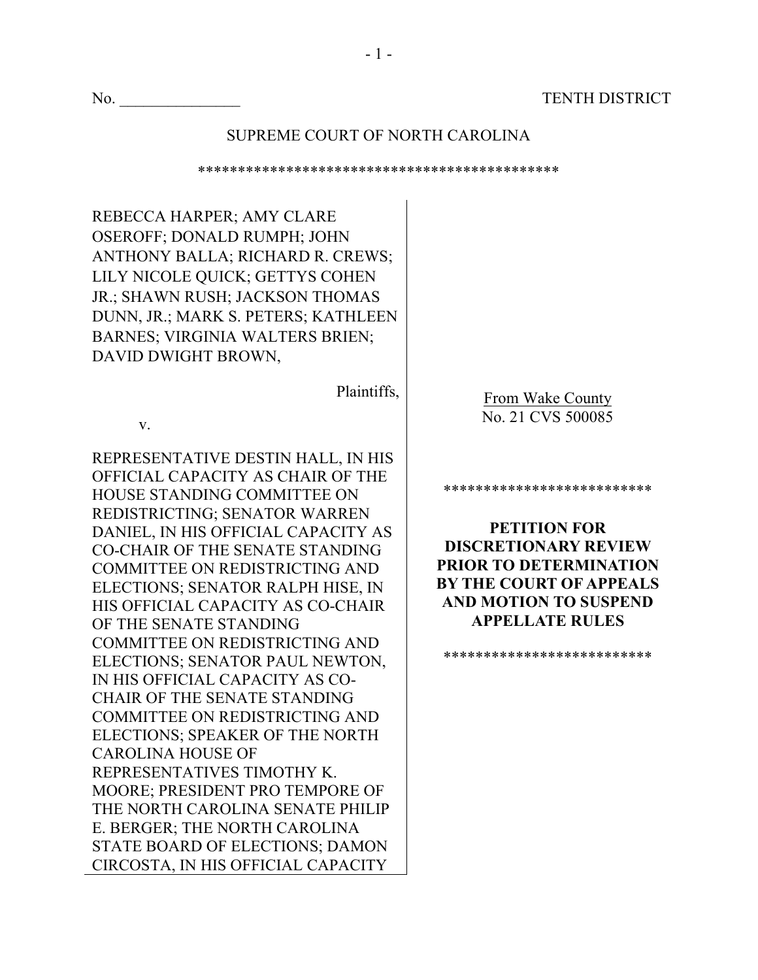#### SUPREME COURT OF NORTH CAROLINA

\*\*\*\*\*\*\*\*\*\*\*\*\*\*\*\*\*\*\*\*\*\*\*\*\*\*\*\*\*\*\*\*\*\*\*\*\*\*\*\*\*\*\*\*\* REBECCA HARPER; AMY CLARE OSEROFF; DONALD RUMPH; JOHN ANTHONY BALLA; RICHARD R. CREWS; LILY NICOLE QUICK; GETTYS COHEN JR.; SHAWN RUSH; JACKSON THOMAS DUNN, JR.; MARK S. PETERS; KATHLEEN BARNES; VIRGINIA WALTERS BRIEN; DAVID DWIGHT BROWN, Plaintiffs, v. REPRESENTATIVE DESTIN HALL, IN HIS OFFICIAL CAPACITY AS CHAIR OF THE HOUSE STANDING COMMITTEE ON REDISTRICTING; SENATOR WARREN DANIEL, IN HIS OFFICIAL CAPACITY AS CO-CHAIR OF THE SENATE STANDING COMMITTEE ON REDISTRICTING AND ELECTIONS; SENATOR RALPH HISE, IN HIS OFFICIAL CAPACITY AS CO-CHAIR OF THE SENATE STANDING COMMITTEE ON REDISTRICTING AND ELECTIONS; SENATOR PAUL NEWTON, IN HIS OFFICIAL CAPACITY AS CO-CHAIR OF THE SENATE STANDING COMMITTEE ON REDISTRICTING AND ELECTIONS; SPEAKER OF THE NORTH CAROLINA HOUSE OF REPRESENTATIVES TIMOTHY K. MOORE; PRESIDENT PRO TEMPORE OF THE NORTH CAROLINA SENATE PHILIP E. BERGER; THE NORTH CAROLINA STATE BOARD OF ELECTIONS; DAMON CIRCOSTA, IN HIS OFFICIAL CAPACITY From Wake County No. 21 CVS 500085 \*\*\*\*\*\*\*\*\*\*\*\*\*\*\*\*\*\*\*\*\*\*\*\*\*\* **PETITION FOR DISCRETIONARY REVIEW PRIOR TO DETERMINATION BY THE COURT OF APPEALS AND MOTION TO SUSPEND APPELLATE RULES** \*\*\*\*\*\*\*\*\*\*\*\*\*\*\*\*\*\*\*\*\*\*\*\*\*\*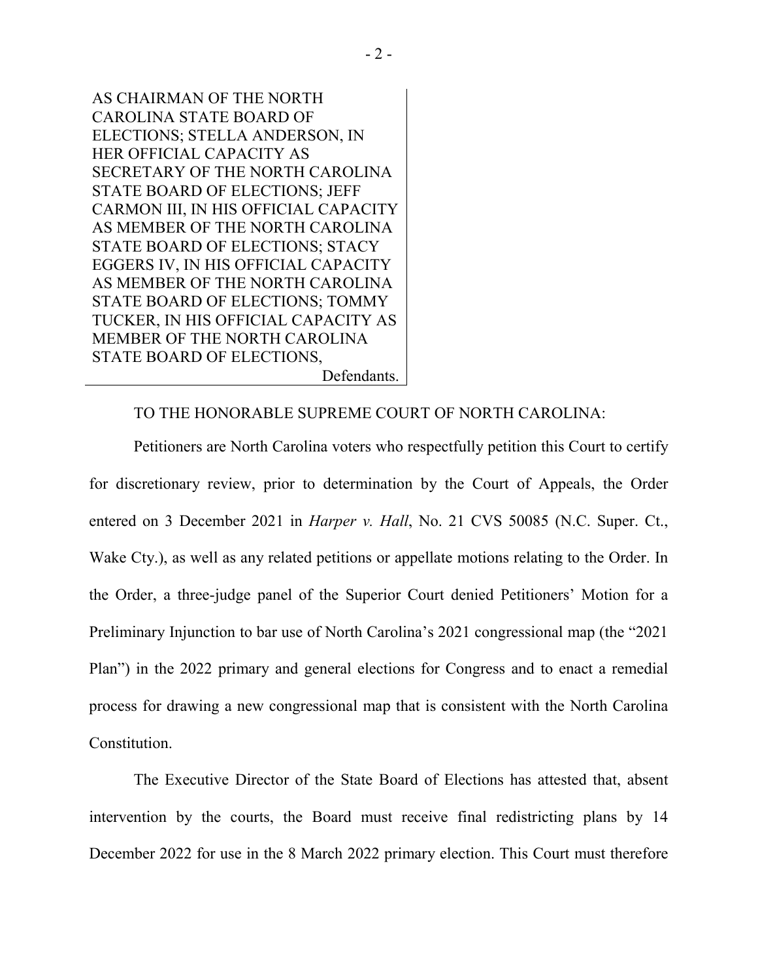AS CHAIRMAN OF THE NORTH CAROLINA STATE BOARD OF ELECTIONS; STELLA ANDERSON, IN HER OFFICIAL CAPACITY AS SECRETARY OF THE NORTH CAROLINA STATE BOARD OF ELECTIONS; JEFF CARMON III, IN HIS OFFICIAL CAPACITY AS MEMBER OF THE NORTH CAROLINA STATE BOARD OF ELECTIONS; STACY EGGERS IV, IN HIS OFFICIAL CAPACITY AS MEMBER OF THE NORTH CAROLINA STATE BOARD OF ELECTIONS; TOMMY TUCKER, IN HIS OFFICIAL CAPACITY AS MEMBER OF THE NORTH CAROLINA STATE BOARD OF ELECTIONS, Defendants.

TO THE HONORABLE SUPREME COURT OF NORTH CAROLINA:

Petitioners are North Carolina voters who respectfully petition this Court to certify for discretionary review, prior to determination by the Court of Appeals, the Order entered on 3 December 2021 in *Harper v. Hall*, No. 21 CVS 50085 (N.C. Super. Ct., Wake Cty.), as well as any related petitions or appellate motions relating to the Order. In the Order, a three-judge panel of the Superior Court denied Petitioners' Motion for a Preliminary Injunction to bar use of North Carolina's 2021 congressional map (the "2021 Plan") in the 2022 primary and general elections for Congress and to enact a remedial process for drawing a new congressional map that is consistent with the North Carolina Constitution.

The Executive Director of the State Board of Elections has attested that, absent intervention by the courts, the Board must receive final redistricting plans by 14 December 2022 for use in the 8 March 2022 primary election. This Court must therefore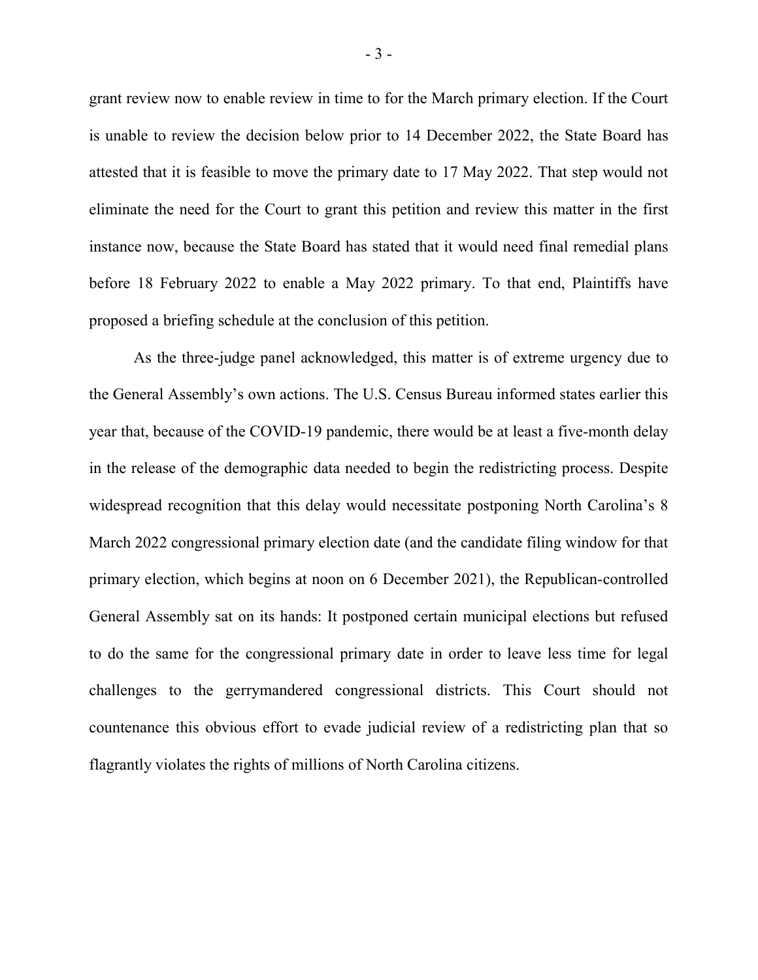grant review now to enable review in time to for the March primary election. If the Court is unable to review the decision below prior to 14 December 2022, the State Board has attested that it is feasible to move the primary date to 17 May 2022. That step would not eliminate the need for the Court to grant this petition and review this matter in the first instance now, because the State Board has stated that it would need final remedial plans before 18 February 2022 to enable a May 2022 primary. To that end, Plaintiffs have proposed a briefing schedule at the conclusion of this petition.

As the three-judge panel acknowledged, this matter is of extreme urgency due to the General Assembly's own actions. The U.S. Census Bureau informed states earlier this year that, because of the COVID-19 pandemic, there would be at least a five-month delay in the release of the demographic data needed to begin the redistricting process. Despite widespread recognition that this delay would necessitate postponing North Carolina's 8 March 2022 congressional primary election date (and the candidate filing window for that primary election, which begins at noon on 6 December 2021), the Republican-controlled General Assembly sat on its hands: It postponed certain municipal elections but refused to do the same for the congressional primary date in order to leave less time for legal challenges to the gerrymandered congressional districts. This Court should not countenance this obvious effort to evade judicial review of a redistricting plan that so flagrantly violates the rights of millions of North Carolina citizens.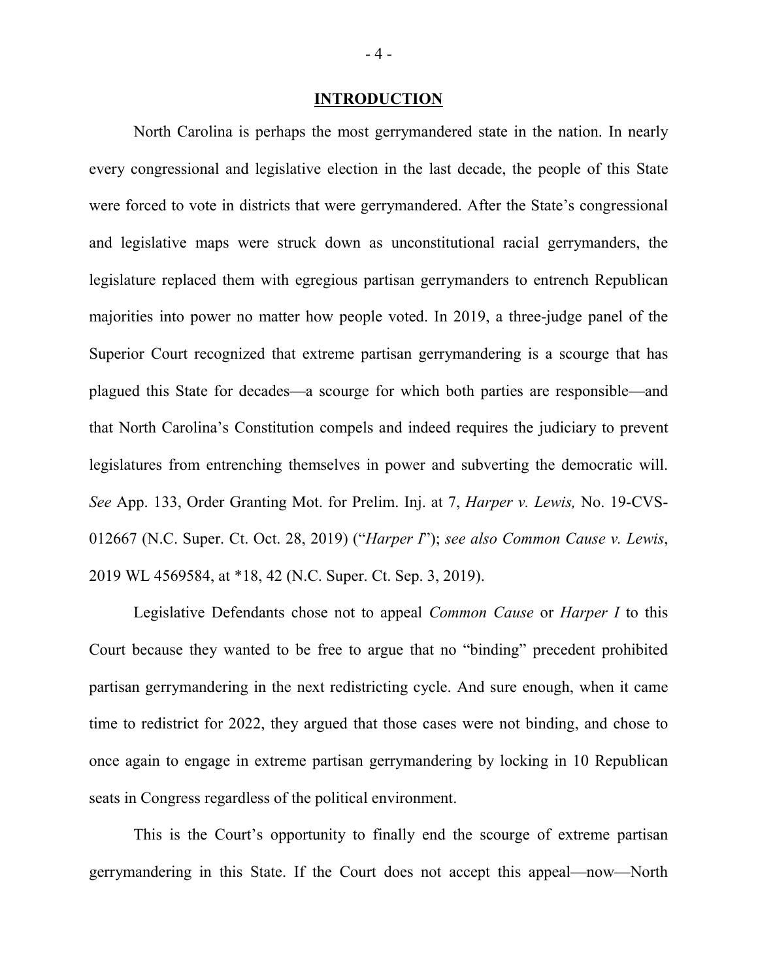#### **INTRODUCTION**

North Carolina is perhaps the most gerrymandered state in the nation. In nearly every congressional and legislative election in the last decade, the people of this State were forced to vote in districts that were gerrymandered. After the State's congressional and legislative maps were struck down as unconstitutional racial gerrymanders, the legislature replaced them with egregious partisan gerrymanders to entrench Republican majorities into power no matter how people voted. In 2019, a three-judge panel of the Superior Court recognized that extreme partisan gerrymandering is a scourge that has plagued this State for decades—a scourge for which both parties are responsible—and that North Carolina's Constitution compels and indeed requires the judiciary to prevent legislatures from entrenching themselves in power and subverting the democratic will. *See* App. 133, Order Granting Mot. for Prelim. Inj. at 7, *Harper v. Lewis,* No. 19-CVS-012667 (N.C. Super. Ct. Oct. 28, 2019) ("*Harper I*"); *see also Common Cause v. Lewis*, 2019 WL 4569584, at \*18, 42 (N.C. Super. Ct. Sep. 3, 2019).

Legislative Defendants chose not to appeal *Common Cause* or *Harper I* to this Court because they wanted to be free to argue that no "binding" precedent prohibited partisan gerrymandering in the next redistricting cycle. And sure enough, when it came time to redistrict for 2022, they argued that those cases were not binding, and chose to once again to engage in extreme partisan gerrymandering by locking in 10 Republican seats in Congress regardless of the political environment.

This is the Court's opportunity to finally end the scourge of extreme partisan gerrymandering in this State. If the Court does not accept this appeal—now—North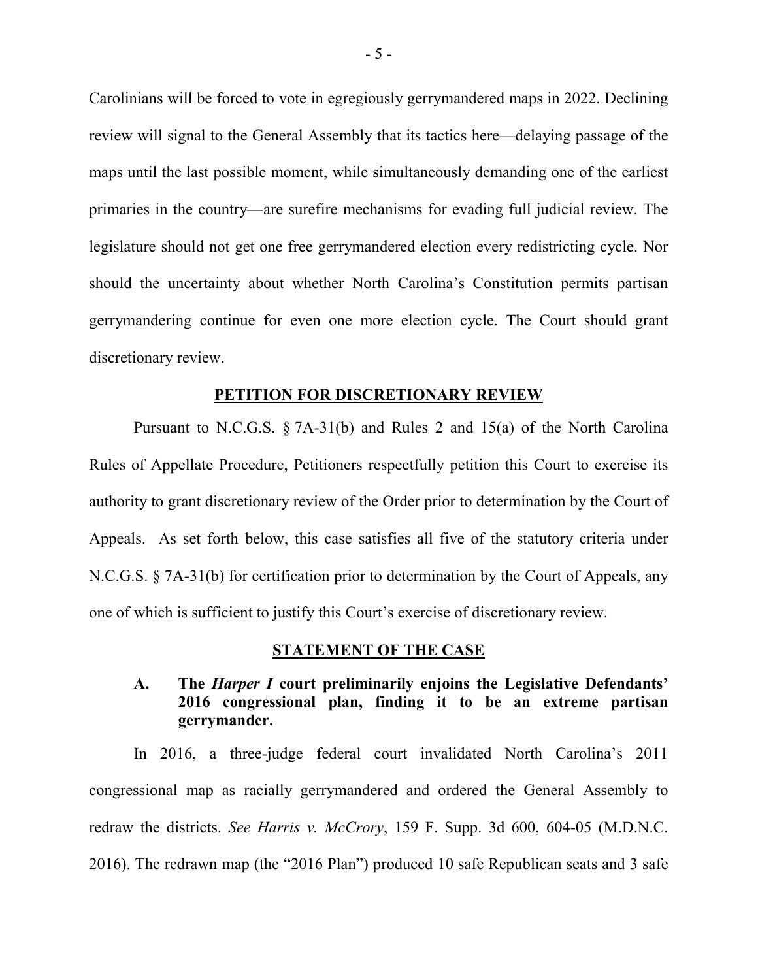Carolinians will be forced to vote in egregiously gerrymandered maps in 2022. Declining review will signal to the General Assembly that its tactics here—delaying passage of the maps until the last possible moment, while simultaneously demanding one of the earliest primaries in the country—are surefire mechanisms for evading full judicial review. The legislature should not get one free gerrymandered election every redistricting cycle. Nor should the uncertainty about whether North Carolina's Constitution permits partisan gerrymandering continue for even one more election cycle. The Court should grant discretionary review.

#### **PETITION FOR DISCRETIONARY REVIEW**

Pursuant to N.C.G.S. § 7A-31(b) and Rules 2 and 15(a) of the North Carolina Rules of Appellate Procedure, Petitioners respectfully petition this Court to exercise its authority to grant discretionary review of the Order prior to determination by the Court of Appeals. As set forth below, this case satisfies all five of the statutory criteria under N.C.G.S. § 7A-31(b) for certification prior to determination by the Court of Appeals, any one of which is sufficient to justify this Court's exercise of discretionary review.

#### **STATEMENT OF THE CASE**

# **A. The** *Harper I* **court preliminarily enjoins the Legislative Defendants' 2016 congressional plan, finding it to be an extreme partisan gerrymander.**

In 2016, a three-judge federal court invalidated North Carolina's 2011 congressional map as racially gerrymandered and ordered the General Assembly to redraw the districts. *See Harris v. McCrory*, 159 F. Supp. 3d 600, 604-05 (M.D.N.C. 2016). The redrawn map (the "2016 Plan") produced 10 safe Republican seats and 3 safe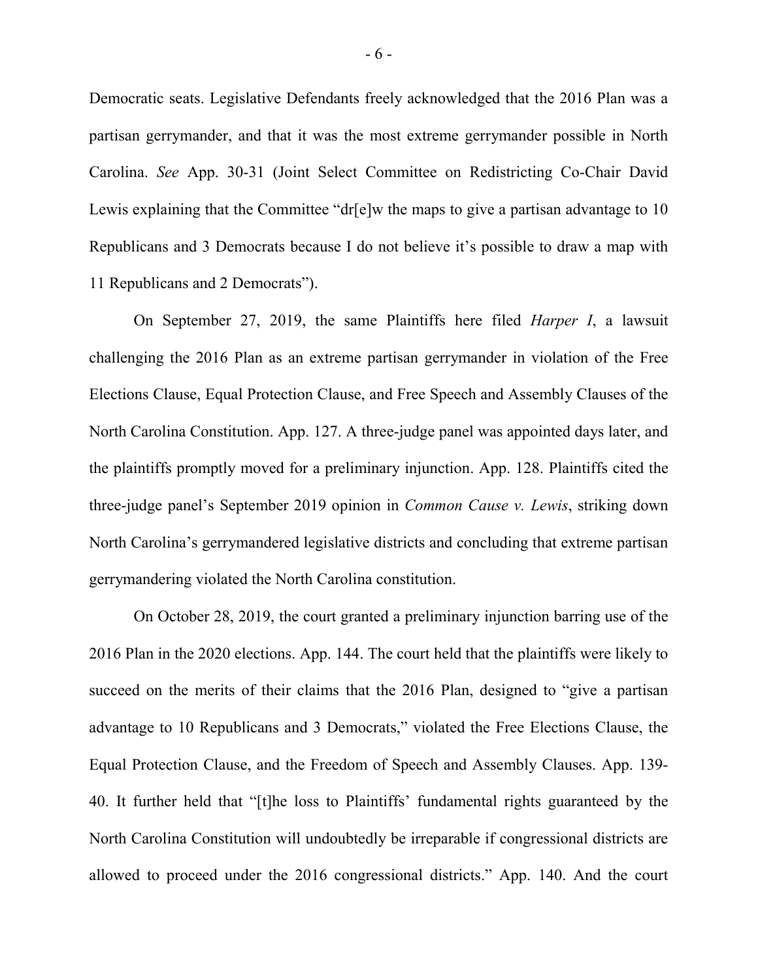Democratic seats. Legislative Defendants freely acknowledged that the 2016 Plan was a partisan gerrymander, and that it was the most extreme gerrymander possible in North Carolina. *See* App. 30-31 (Joint Select Committee on Redistricting Co-Chair David Lewis explaining that the Committee "dr[e]w the maps to give a partisan advantage to 10 Republicans and 3 Democrats because I do not believe it's possible to draw a map with 11 Republicans and 2 Democrats").

On September 27, 2019, the same Plaintiffs here filed *Harper I*, a lawsuit challenging the 2016 Plan as an extreme partisan gerrymander in violation of the Free Elections Clause, Equal Protection Clause, and Free Speech and Assembly Clauses of the North Carolina Constitution. App. 127. A three-judge panel was appointed days later, and the plaintiffs promptly moved for a preliminary injunction. App. 128. Plaintiffs cited the three-judge panel's September 2019 opinion in *Common Cause v. Lewis*, striking down North Carolina's gerrymandered legislative districts and concluding that extreme partisan gerrymandering violated the North Carolina constitution.

On October 28, 2019, the court granted a preliminary injunction barring use of the 2016 Plan in the 2020 elections. App. 144. The court held that the plaintiffs were likely to succeed on the merits of their claims that the 2016 Plan, designed to "give a partisan advantage to 10 Republicans and 3 Democrats," violated the Free Elections Clause, the Equal Protection Clause, and the Freedom of Speech and Assembly Clauses. App. 139- 40. It further held that "[t]he loss to Plaintiffs' fundamental rights guaranteed by the North Carolina Constitution will undoubtedly be irreparable if congressional districts are allowed to proceed under the 2016 congressional districts." App. 140. And the court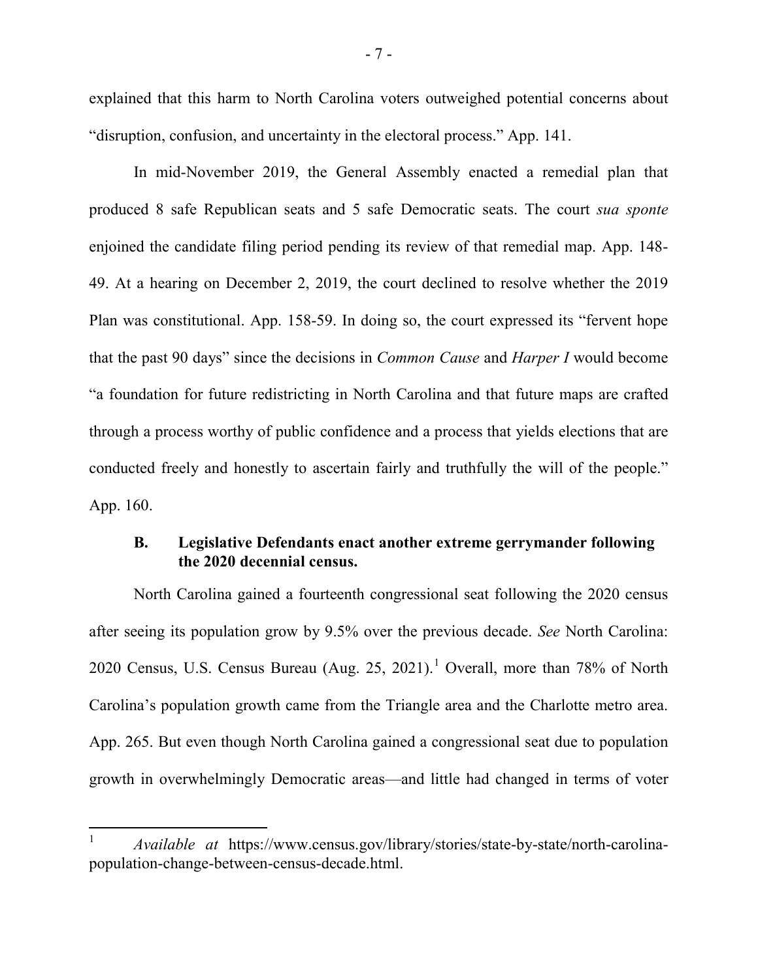explained that this harm to North Carolina voters outweighed potential concerns about "disruption, confusion, and uncertainty in the electoral process." App. 141.

In mid-November 2019, the General Assembly enacted a remedial plan that produced 8 safe Republican seats and 5 safe Democratic seats. The court *sua sponte* enjoined the candidate filing period pending its review of that remedial map. App. 148- 49. At a hearing on December 2, 2019, the court declined to resolve whether the 2019 Plan was constitutional. App. 158-59. In doing so, the court expressed its "fervent hope that the past 90 days" since the decisions in *Common Cause* and *Harper I* would become "a foundation for future redistricting in North Carolina and that future maps are crafted through a process worthy of public confidence and a process that yields elections that are conducted freely and honestly to ascertain fairly and truthfully the will of the people." App. 160.

## **B. Legislative Defendants enact another extreme gerrymander following the 2020 decennial census.**

North Carolina gained a fourteenth congressional seat following the 2020 census after seeing its population grow by 9.5% over the previous decade. *See* North Carolina: 2020 Census, U.S. Census Bureau (Aug. 25, 202[1](#page-12-0)).<sup>1</sup> Overall, more than 78% of North Carolina's population growth came from the Triangle area and the Charlotte metro area. App. 265. But even though North Carolina gained a congressional seat due to population growth in overwhelmingly Democratic areas—and little had changed in terms of voter

<span id="page-12-0"></span> <sup>1</sup> *Available at* https://www.census.gov/library/stories/state-by-state/north-carolinapopulation-change-between-census-decade.html.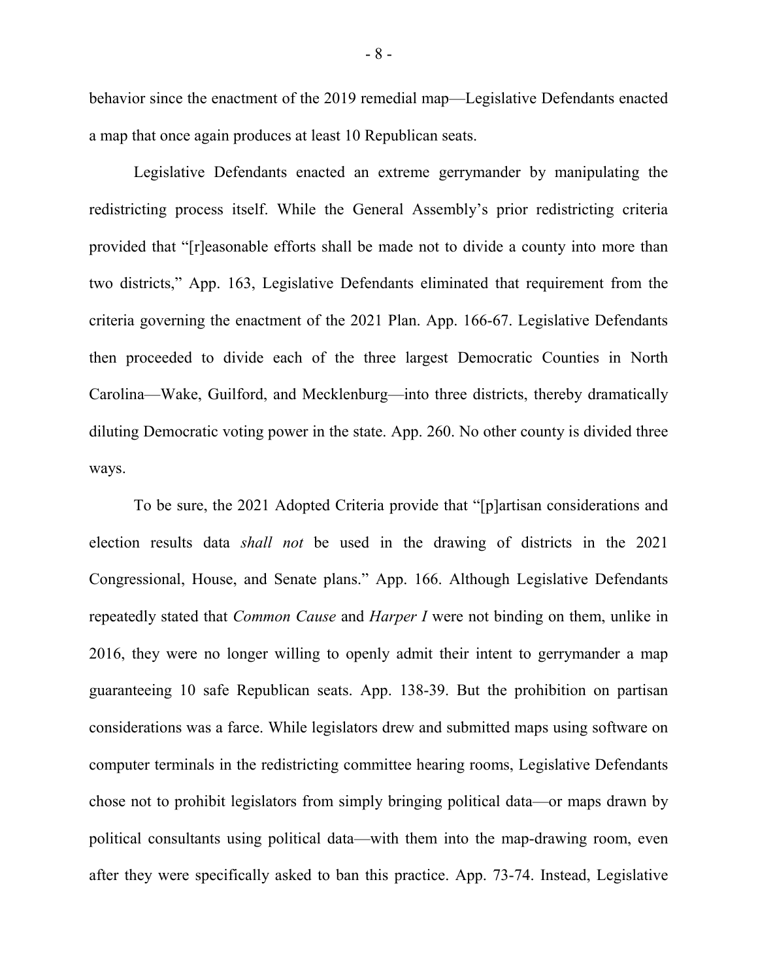behavior since the enactment of the 2019 remedial map—Legislative Defendants enacted a map that once again produces at least 10 Republican seats.

Legislative Defendants enacted an extreme gerrymander by manipulating the redistricting process itself. While the General Assembly's prior redistricting criteria provided that "[r]easonable efforts shall be made not to divide a county into more than two districts," App. 163, Legislative Defendants eliminated that requirement from the criteria governing the enactment of the 2021 Plan. App. 166-67. Legislative Defendants then proceeded to divide each of the three largest Democratic Counties in North Carolina—Wake, Guilford, and Mecklenburg—into three districts, thereby dramatically diluting Democratic voting power in the state. App. 260. No other county is divided three ways.

To be sure, the 2021 Adopted Criteria provide that "[p]artisan considerations and election results data *shall not* be used in the drawing of districts in the 2021 Congressional, House, and Senate plans." App. 166. Although Legislative Defendants repeatedly stated that *Common Cause* and *Harper I* were not binding on them, unlike in 2016, they were no longer willing to openly admit their intent to gerrymander a map guaranteeing 10 safe Republican seats. App. 138-39. But the prohibition on partisan considerations was a farce. While legislators drew and submitted maps using software on computer terminals in the redistricting committee hearing rooms, Legislative Defendants chose not to prohibit legislators from simply bringing political data—or maps drawn by political consultants using political data—with them into the map-drawing room, even after they were specifically asked to ban this practice. App. 73-74. Instead, Legislative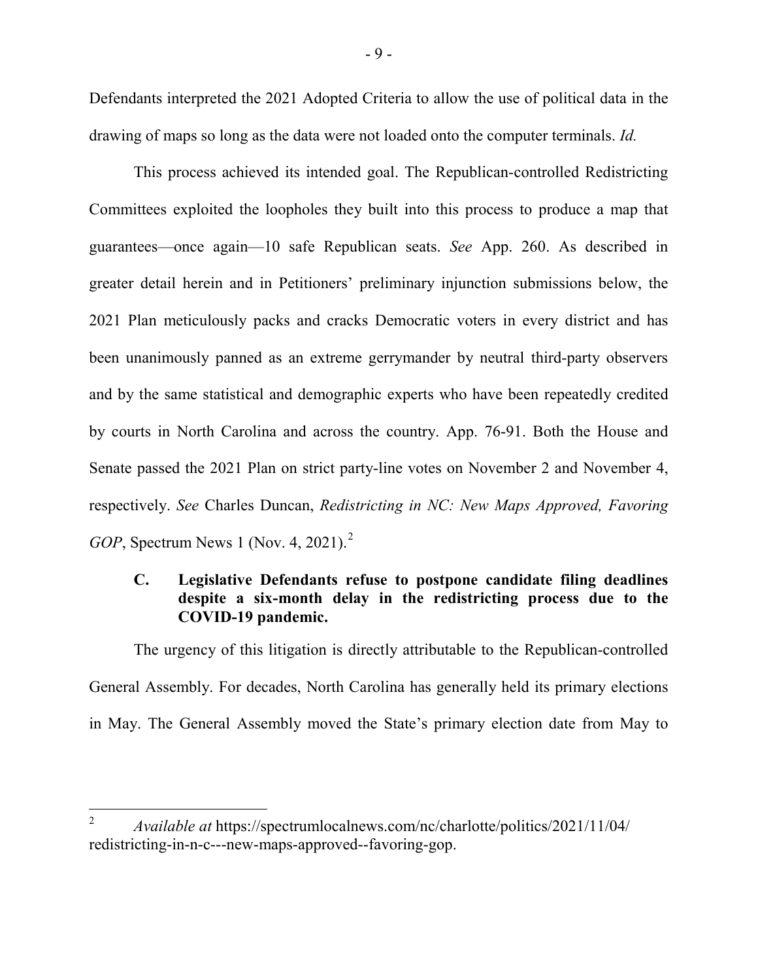Defendants interpreted the 2021 Adopted Criteria to allow the use of political data in the drawing of maps so long as the data were not loaded onto the computer terminals. *Id.*

This process achieved its intended goal. The Republican-controlled Redistricting Committees exploited the loopholes they built into this process to produce a map that guarantees—once again—10 safe Republican seats. *See* App. 260. As described in greater detail herein and in Petitioners' preliminary injunction submissions below, the 2021 Plan meticulously packs and cracks Democratic voters in every district and has been unanimously panned as an extreme gerrymander by neutral third-party observers and by the same statistical and demographic experts who have been repeatedly credited by courts in North Carolina and across the country. App. 76-91. Both the House and Senate passed the 2021 Plan on strict party-line votes on November 2 and November 4, respectively. *See* Charles Duncan, *Redistricting in NC: New Maps Approved, Favoring GOP*, Spectrum News 1 (Nov. 4, [2](#page-14-0)021).<sup>2</sup>

# **C. Legislative Defendants refuse to postpone candidate filing deadlines despite a six-month delay in the redistricting process due to the COVID-19 pandemic.**

The urgency of this litigation is directly attributable to the Republican-controlled General Assembly. For decades, North Carolina has generally held its primary elections in May. The General Assembly moved the State's primary election date from May to

<span id="page-14-0"></span> <sup>2</sup> *Available at* https://spectrumlocalnews.com/nc/charlotte/politics/2021/11/04/ redistricting-in-n-c---new-maps-approved--favoring-gop.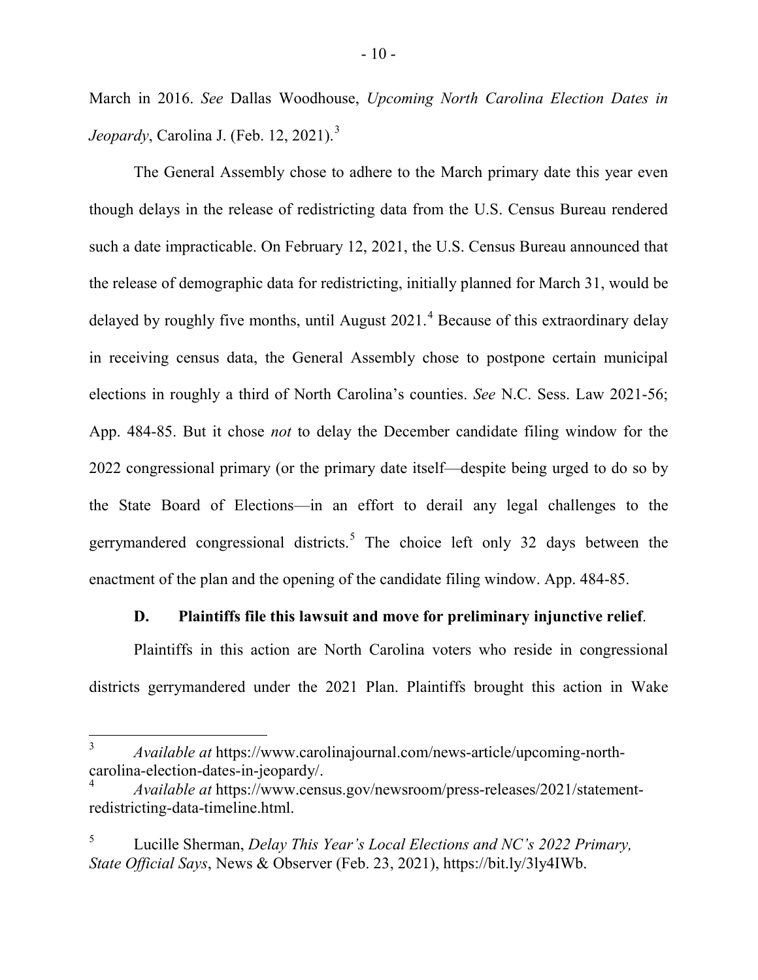March in 2016. *See* Dallas Woodhouse, *Upcoming North Carolina Election Dates in Jeopardy*, Carolina J. (Feb. 12, 2021).<sup>[3](#page-15-0)</sup>

The General Assembly chose to adhere to the March primary date this year even though delays in the release of redistricting data from the U.S. Census Bureau rendered such a date impracticable. On February 12, 2021, the U.S. Census Bureau announced that the release of demographic data for redistricting, initially planned for March 31, would be delayed by roughly five months, until August  $2021$ .<sup>[4](#page-15-1)</sup> Because of this extraordinary delay in receiving census data, the General Assembly chose to postpone certain municipal elections in roughly a third of North Carolina's counties. *See* N.C. Sess. Law 2021-56; App. 484-85. But it chose *not* to delay the December candidate filing window for the 2022 congressional primary (or the primary date itself—despite being urged to do so by the State Board of Elections—in an effort to derail any legal challenges to the gerrymandered congressional districts.<sup>[5](#page-15-2)</sup> The choice left only 32 days between the enactment of the plan and the opening of the candidate filing window. App. 484-85.

## **D. Plaintiffs file this lawsuit and move for preliminary injunctive relief**.

Plaintiffs in this action are North Carolina voters who reside in congressional districts gerrymandered under the 2021 Plan. Plaintiffs brought this action in Wake

<span id="page-15-0"></span> <sup>3</sup> *Available at* https://www.carolinajournal.com/news-article/upcoming-northcarolina-election-dates-in-jeopardy/.

<span id="page-15-1"></span><sup>4</sup> *Available at* https://www.census.gov/newsroom/press-releases/2021/statementredistricting-data-timeline.html.

<span id="page-15-2"></span><sup>5</sup> Lucille Sherman, *Delay This Year's Local Elections and NC's 2022 Primary, State Official Says*, News & Observer (Feb. 23, 2021), https://bit.ly/3ly4IWb.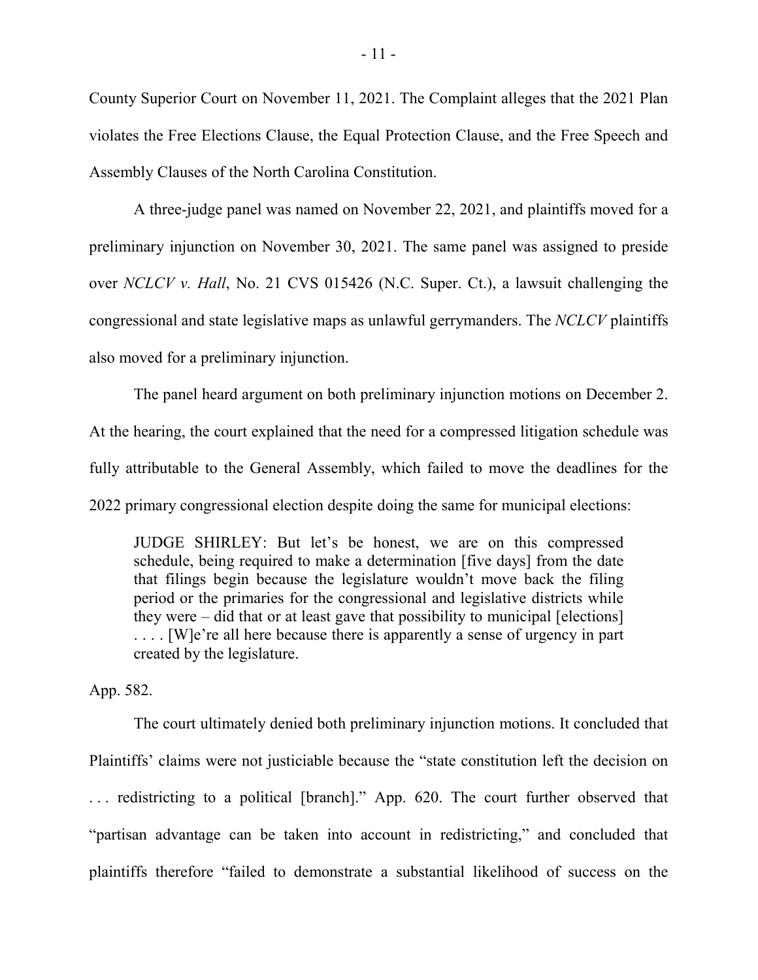County Superior Court on November 11, 2021. The Complaint alleges that the 2021 Plan violates the Free Elections Clause, the Equal Protection Clause, and the Free Speech and Assembly Clauses of the North Carolina Constitution.

A three-judge panel was named on November 22, 2021, and plaintiffs moved for a preliminary injunction on November 30, 2021. The same panel was assigned to preside over *NCLCV v. Hall*, No. 21 CVS 015426 (N.C. Super. Ct.), a lawsuit challenging the congressional and state legislative maps as unlawful gerrymanders. The *NCLCV* plaintiffs also moved for a preliminary injunction.

The panel heard argument on both preliminary injunction motions on December 2. At the hearing, the court explained that the need for a compressed litigation schedule was fully attributable to the General Assembly, which failed to move the deadlines for the 2022 primary congressional election despite doing the same for municipal elections:

JUDGE SHIRLEY: But let's be honest, we are on this compressed schedule, being required to make a determination [five days] from the date that filings begin because the legislature wouldn't move back the filing period or the primaries for the congressional and legislative districts while they were – did that or at least gave that possibility to municipal [elections] .... [W]e're all here because there is apparently a sense of urgency in part created by the legislature.

App. 582.

The court ultimately denied both preliminary injunction motions. It concluded that Plaintiffs' claims were not justiciable because the "state constitution left the decision on . . . redistricting to a political [branch]." App. 620. The court further observed that "partisan advantage can be taken into account in redistricting," and concluded that plaintiffs therefore "failed to demonstrate a substantial likelihood of success on the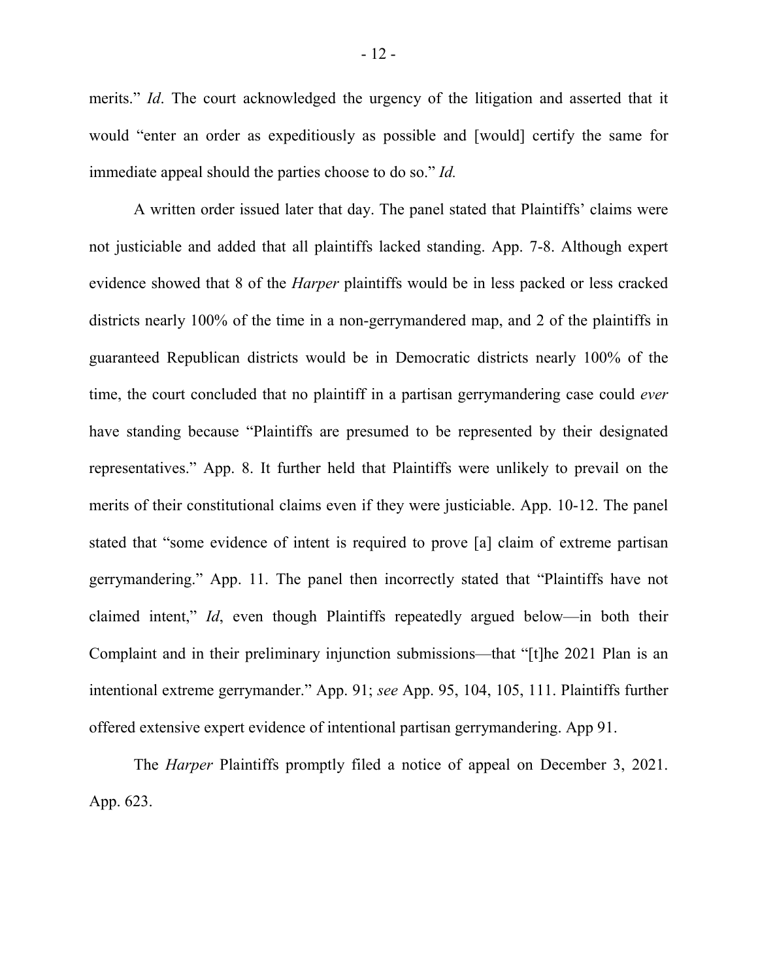merits." *Id*. The court acknowledged the urgency of the litigation and asserted that it would "enter an order as expeditiously as possible and [would] certify the same for immediate appeal should the parties choose to do so." *Id.*

A written order issued later that day. The panel stated that Plaintiffs' claims were not justiciable and added that all plaintiffs lacked standing. App. 7-8. Although expert evidence showed that 8 of the *Harper* plaintiffs would be in less packed or less cracked districts nearly 100% of the time in a non-gerrymandered map, and 2 of the plaintiffs in guaranteed Republican districts would be in Democratic districts nearly 100% of the time, the court concluded that no plaintiff in a partisan gerrymandering case could *ever* have standing because "Plaintiffs are presumed to be represented by their designated representatives." App. 8. It further held that Plaintiffs were unlikely to prevail on the merits of their constitutional claims even if they were justiciable. App. 10-12. The panel stated that "some evidence of intent is required to prove [a] claim of extreme partisan gerrymandering." App. 11. The panel then incorrectly stated that "Plaintiffs have not claimed intent," *Id*, even though Plaintiffs repeatedly argued below—in both their Complaint and in their preliminary injunction submissions—that "[t]he 2021 Plan is an intentional extreme gerrymander." App. 91; *see* App. 95, 104, 105, 111. Plaintiffs further offered extensive expert evidence of intentional partisan gerrymandering. App 91.

The *Harper* Plaintiffs promptly filed a notice of appeal on December 3, 2021. App. 623.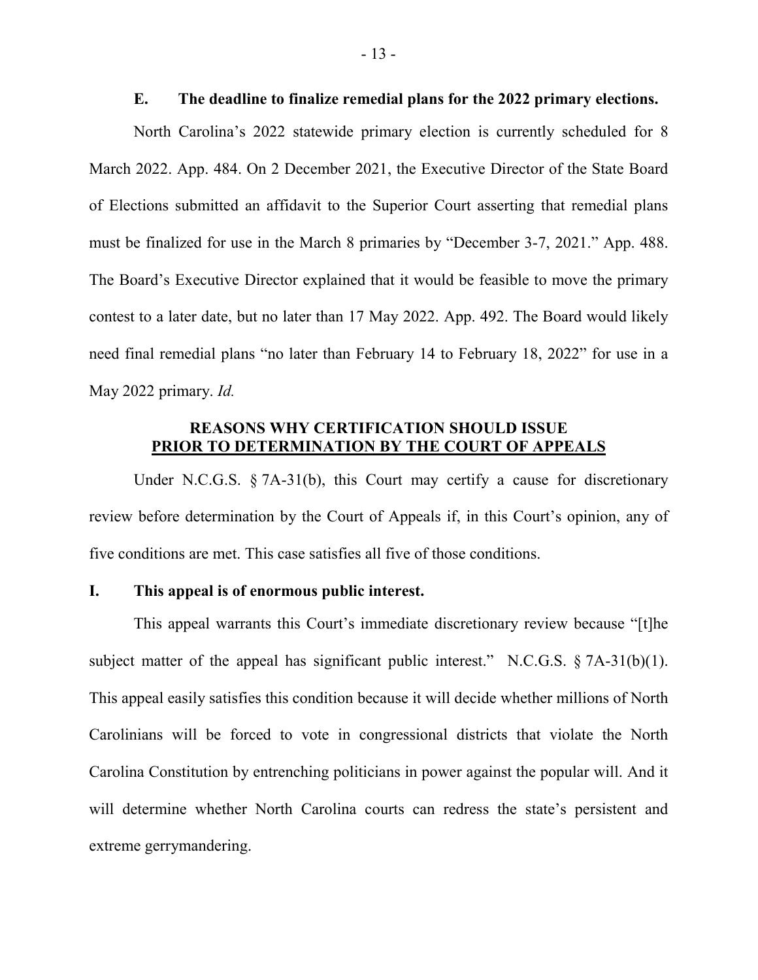#### **E. The deadline to finalize remedial plans for the 2022 primary elections.**

North Carolina's 2022 statewide primary election is currently scheduled for 8 March 2022. App. 484. On 2 December 2021, the Executive Director of the State Board of Elections submitted an affidavit to the Superior Court asserting that remedial plans must be finalized for use in the March 8 primaries by "December 3-7, 2021." App. 488. The Board's Executive Director explained that it would be feasible to move the primary contest to a later date, but no later than 17 May 2022. App. 492. The Board would likely need final remedial plans "no later than February 14 to February 18, 2022" for use in a May 2022 primary. *Id.*

## **REASONS WHY CERTIFICATION SHOULD ISSUE PRIOR TO DETERMINATION BY THE COURT OF APPEALS**

Under N.C.G.S. § 7A-31(b), this Court may certify a cause for discretionary review before determination by the Court of Appeals if, in this Court's opinion, any of five conditions are met. This case satisfies all five of those conditions.

#### **I. This appeal is of enormous public interest.**

This appeal warrants this Court's immediate discretionary review because "[t]he subject matter of the appeal has significant public interest." N.C.G.S.  $\S$  7A-31(b)(1). This appeal easily satisfies this condition because it will decide whether millions of North Carolinians will be forced to vote in congressional districts that violate the North Carolina Constitution by entrenching politicians in power against the popular will. And it will determine whether North Carolina courts can redress the state's persistent and extreme gerrymandering.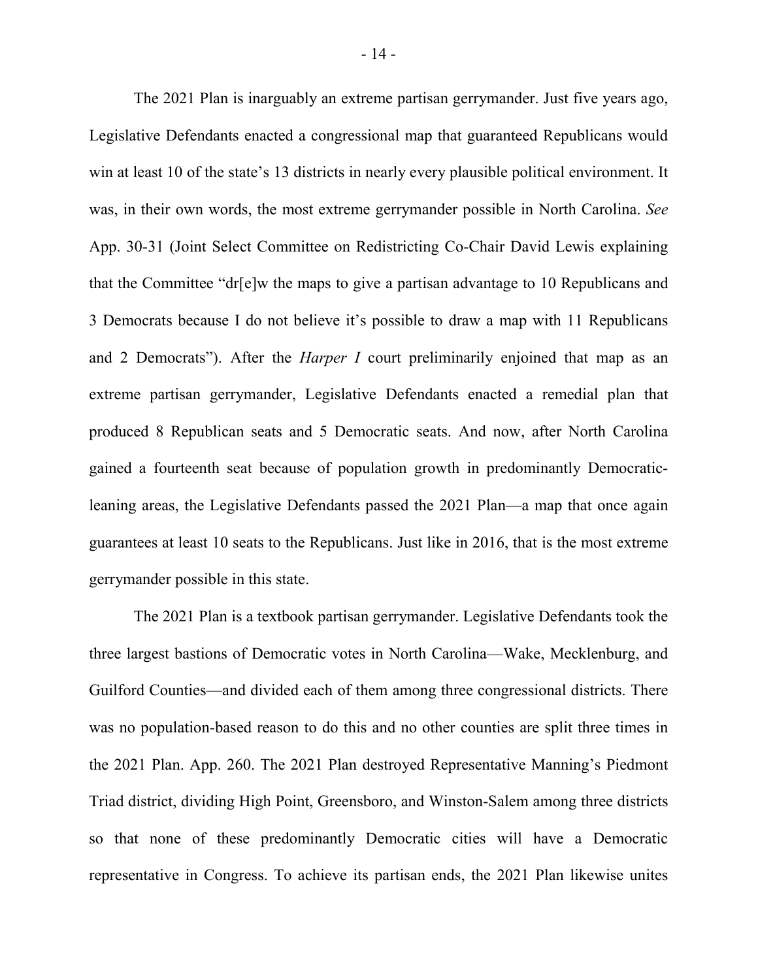The 2021 Plan is inarguably an extreme partisan gerrymander. Just five years ago, Legislative Defendants enacted a congressional map that guaranteed Republicans would win at least 10 of the state's 13 districts in nearly every plausible political environment. It was, in their own words, the most extreme gerrymander possible in North Carolina. *See*  App. 30-31 (Joint Select Committee on Redistricting Co-Chair David Lewis explaining that the Committee "dr[e]w the maps to give a partisan advantage to 10 Republicans and 3 Democrats because I do not believe it's possible to draw a map with 11 Republicans and 2 Democrats"). After the *Harper I* court preliminarily enjoined that map as an extreme partisan gerrymander, Legislative Defendants enacted a remedial plan that produced 8 Republican seats and 5 Democratic seats. And now, after North Carolina gained a fourteenth seat because of population growth in predominantly Democraticleaning areas, the Legislative Defendants passed the 2021 Plan—a map that once again guarantees at least 10 seats to the Republicans. Just like in 2016, that is the most extreme gerrymander possible in this state.

The 2021 Plan is a textbook partisan gerrymander. Legislative Defendants took the three largest bastions of Democratic votes in North Carolina—Wake, Mecklenburg, and Guilford Counties—and divided each of them among three congressional districts. There was no population-based reason to do this and no other counties are split three times in the 2021 Plan. App. 260. The 2021 Plan destroyed Representative Manning's Piedmont Triad district, dividing High Point, Greensboro, and Winston-Salem among three districts so that none of these predominantly Democratic cities will have a Democratic representative in Congress. To achieve its partisan ends, the 2021 Plan likewise unites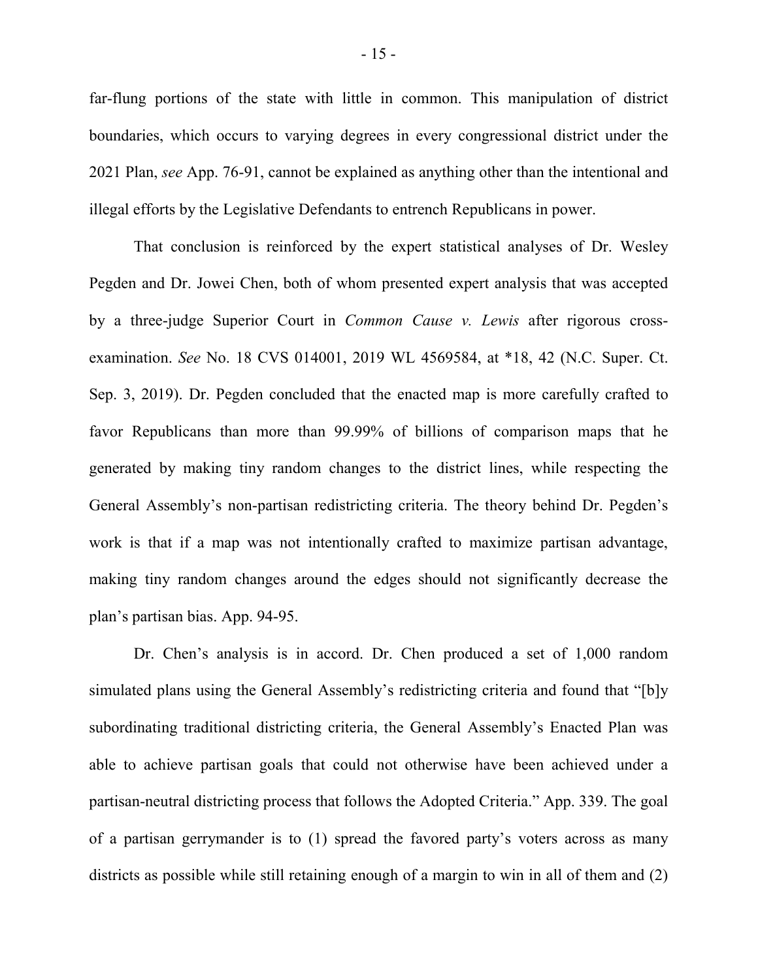far-flung portions of the state with little in common. This manipulation of district boundaries, which occurs to varying degrees in every congressional district under the 2021 Plan, *see* App. 76-91, cannot be explained as anything other than the intentional and illegal efforts by the Legislative Defendants to entrench Republicans in power.

That conclusion is reinforced by the expert statistical analyses of Dr. Wesley Pegden and Dr. Jowei Chen, both of whom presented expert analysis that was accepted by a three-judge Superior Court in *Common Cause v. Lewis* after rigorous crossexamination. *See* No. 18 CVS 014001, 2019 WL 4569584, at \*18, 42 (N.C. Super. Ct. Sep. 3, 2019). Dr. Pegden concluded that the enacted map is more carefully crafted to favor Republicans than more than 99.99% of billions of comparison maps that he generated by making tiny random changes to the district lines, while respecting the General Assembly's non-partisan redistricting criteria. The theory behind Dr. Pegden's work is that if a map was not intentionally crafted to maximize partisan advantage, making tiny random changes around the edges should not significantly decrease the plan's partisan bias. App. 94-95.

Dr. Chen's analysis is in accord. Dr. Chen produced a set of 1,000 random simulated plans using the General Assembly's redistricting criteria and found that "[b]y subordinating traditional districting criteria, the General Assembly's Enacted Plan was able to achieve partisan goals that could not otherwise have been achieved under a partisan-neutral districting process that follows the Adopted Criteria." App. 339. The goal of a partisan gerrymander is to (1) spread the favored party's voters across as many districts as possible while still retaining enough of a margin to win in all of them and (2)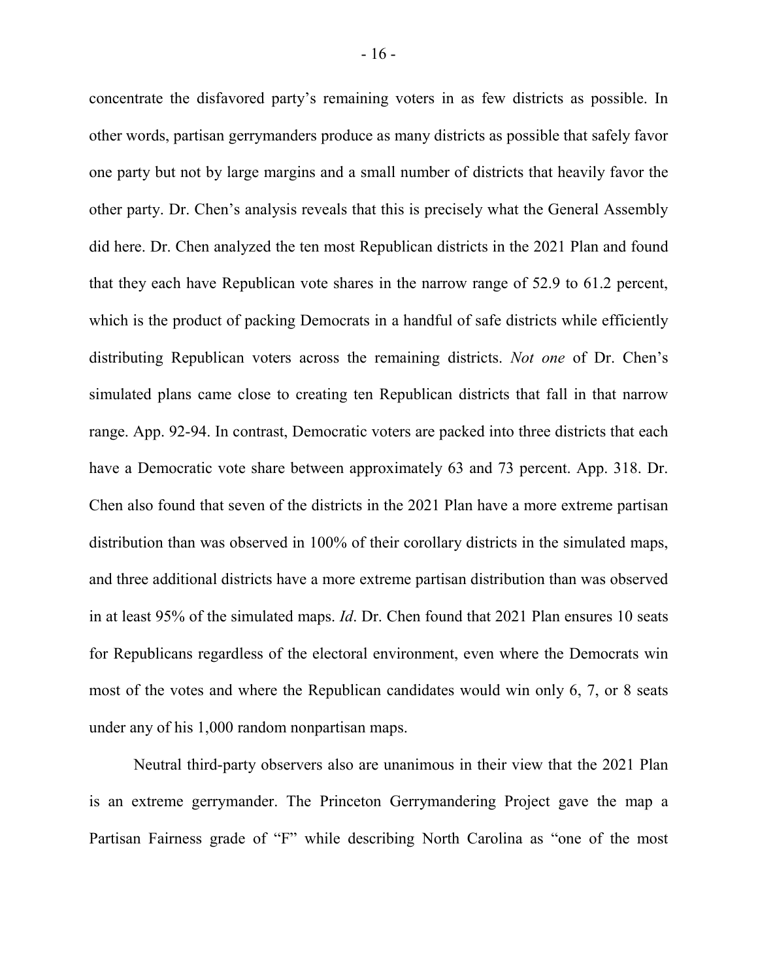concentrate the disfavored party's remaining voters in as few districts as possible. In other words, partisan gerrymanders produce as many districts as possible that safely favor one party but not by large margins and a small number of districts that heavily favor the other party. Dr. Chen's analysis reveals that this is precisely what the General Assembly did here. Dr. Chen analyzed the ten most Republican districts in the 2021 Plan and found that they each have Republican vote shares in the narrow range of 52.9 to 61.2 percent, which is the product of packing Democrats in a handful of safe districts while efficiently distributing Republican voters across the remaining districts. *Not one* of Dr. Chen's simulated plans came close to creating ten Republican districts that fall in that narrow range. App. 92-94. In contrast, Democratic voters are packed into three districts that each have a Democratic vote share between approximately 63 and 73 percent. App. 318. Dr. Chen also found that seven of the districts in the 2021 Plan have a more extreme partisan distribution than was observed in 100% of their corollary districts in the simulated maps, and three additional districts have a more extreme partisan distribution than was observed in at least 95% of the simulated maps. *Id*. Dr. Chen found that 2021 Plan ensures 10 seats for Republicans regardless of the electoral environment, even where the Democrats win most of the votes and where the Republican candidates would win only 6, 7, or 8 seats under any of his 1,000 random nonpartisan maps.

Neutral third-party observers also are unanimous in their view that the 2021 Plan is an extreme gerrymander. The Princeton Gerrymandering Project gave the map a Partisan Fairness grade of "F" while describing North Carolina as "one of the most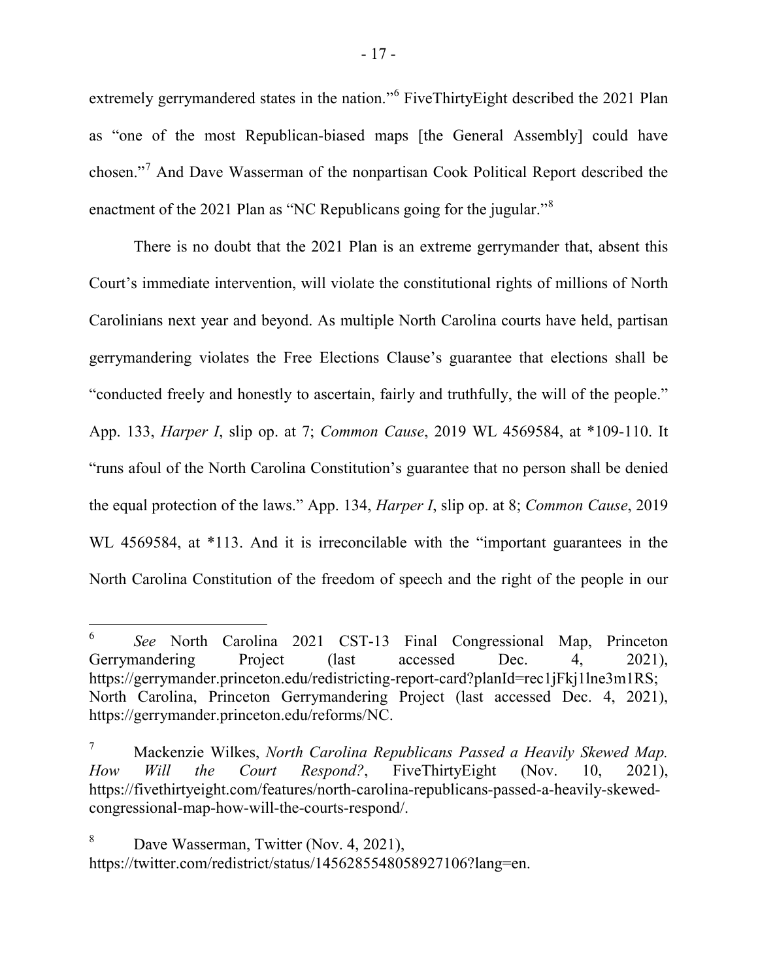extremely gerrymandered states in the nation."[6](#page-22-0) FiveThirtyEight described the 2021 Plan as "one of the most Republican-biased maps [the General Assembly] could have chosen."[7](#page-22-1) And Dave Wasserman of the nonpartisan Cook Political Report described the enactment of the 2021 Plan as "NC Republicans going for the jugular."<sup>[8](#page-22-2)</sup>

There is no doubt that the 2021 Plan is an extreme gerrymander that, absent this Court's immediate intervention, will violate the constitutional rights of millions of North Carolinians next year and beyond. As multiple North Carolina courts have held, partisan gerrymandering violates the Free Elections Clause's guarantee that elections shall be "conducted freely and honestly to ascertain, fairly and truthfully, the will of the people." App. 133, *Harper I*, slip op. at 7; *Common Cause*, 2019 WL 4569584, at \*109-110. It "runs afoul of the North Carolina Constitution's guarantee that no person shall be denied the equal protection of the laws." App. 134, *Harper I*, slip op. at 8; *Common Cause*, 2019 WL 4569584, at \*113. And it is irreconcilable with the "important guarantees in the North Carolina Constitution of the freedom of speech and the right of the people in our

<span id="page-22-0"></span> <sup>6</sup> *See* North Carolina 2021 CST-13 Final Congressional Map, Princeton Gerrymandering Project (last accessed Dec. 4, 2021), https://gerrymander.princeton.edu/redistricting-report-card?planId=rec1jFkj1lne3m1RS; North Carolina, Princeton Gerrymandering Project (last accessed Dec. 4, 2021), https://gerrymander.princeton.edu/reforms/NC.

<span id="page-22-1"></span><sup>7</sup> Mackenzie Wilkes, *North Carolina Republicans Passed a Heavily Skewed Map. How Will the Court Respond?*, FiveThirtyEight (Nov. 10, 2021), https://fivethirtyeight.com/features/north-carolina-republicans-passed-a-heavily-skewedcongressional-map-how-will-the-courts-respond/.

<span id="page-22-2"></span><sup>&</sup>lt;sup>8</sup> Dave Wasserman, Twitter (Nov. 4, 2021), https://twitter.com/redistrict/status/1456285548058927106?lang=en.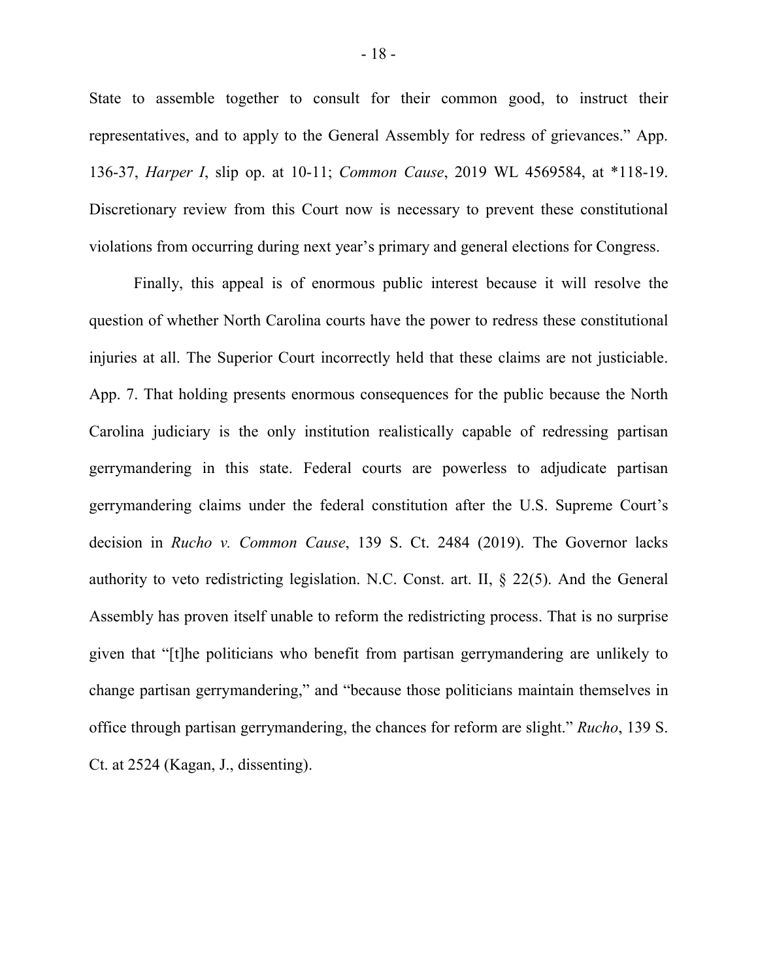State to assemble together to consult for their common good, to instruct their representatives, and to apply to the General Assembly for redress of grievances." App. 136-37, *Harper I*, slip op. at 10-11; *Common Cause*, 2019 WL 4569584, at \*118-19. Discretionary review from this Court now is necessary to prevent these constitutional violations from occurring during next year's primary and general elections for Congress.

Finally, this appeal is of enormous public interest because it will resolve the question of whether North Carolina courts have the power to redress these constitutional injuries at all. The Superior Court incorrectly held that these claims are not justiciable. App. 7. That holding presents enormous consequences for the public because the North Carolina judiciary is the only institution realistically capable of redressing partisan gerrymandering in this state. Federal courts are powerless to adjudicate partisan gerrymandering claims under the federal constitution after the U.S. Supreme Court's decision in *Rucho v. Common Cause*, 139 S. Ct. 2484 (2019). The Governor lacks authority to veto redistricting legislation. N.C. Const. art. II, § 22(5). And the General Assembly has proven itself unable to reform the redistricting process. That is no surprise given that "[t]he politicians who benefit from partisan gerrymandering are unlikely to change partisan gerrymandering," and "because those politicians maintain themselves in office through partisan gerrymandering, the chances for reform are slight." *Rucho*, 139 S. Ct. at 2524 (Kagan, J., dissenting).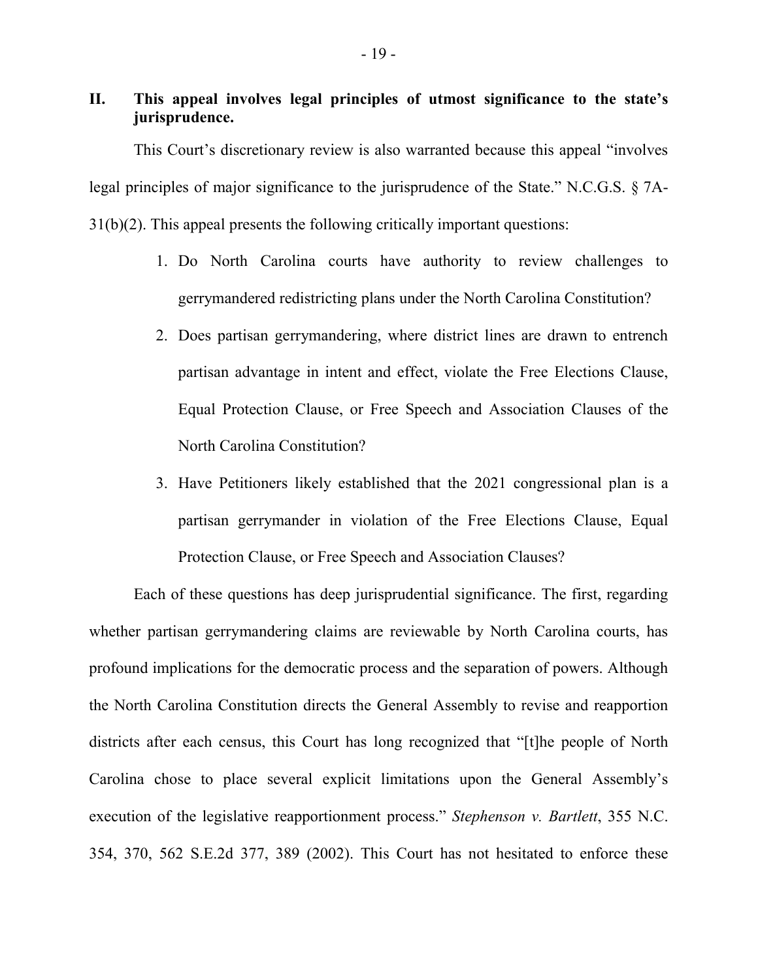# **II. This appeal involves legal principles of utmost significance to the state's jurisprudence.**

This Court's discretionary review is also warranted because this appeal "involves legal principles of major significance to the jurisprudence of the State." N.C.G.S. § 7A-31(b)(2). This appeal presents the following critically important questions:

- 1. Do North Carolina courts have authority to review challenges to gerrymandered redistricting plans under the North Carolina Constitution?
- 2. Does partisan gerrymandering, where district lines are drawn to entrench partisan advantage in intent and effect, violate the Free Elections Clause, Equal Protection Clause, or Free Speech and Association Clauses of the North Carolina Constitution?
- 3. Have Petitioners likely established that the 2021 congressional plan is a partisan gerrymander in violation of the Free Elections Clause, Equal Protection Clause, or Free Speech and Association Clauses?

Each of these questions has deep jurisprudential significance. The first, regarding whether partisan gerrymandering claims are reviewable by North Carolina courts, has profound implications for the democratic process and the separation of powers. Although the North Carolina Constitution directs the General Assembly to revise and reapportion districts after each census, this Court has long recognized that "[t]he people of North Carolina chose to place several explicit limitations upon the General Assembly's execution of the legislative reapportionment process." *Stephenson v. Bartlett*, 355 N.C. 354, 370, 562 S.E.2d 377, 389 (2002). This Court has not hesitated to enforce these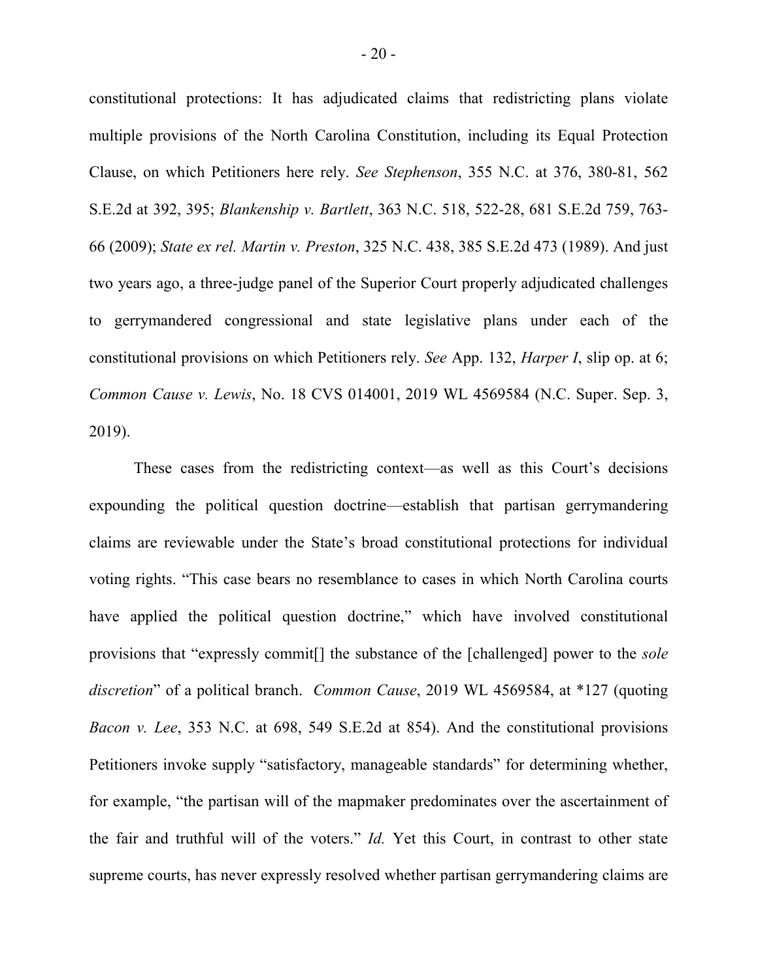constitutional protections: It has adjudicated claims that redistricting plans violate multiple provisions of the North Carolina Constitution, including its Equal Protection Clause, on which Petitioners here rely. *See Stephenson*, 355 N.C. at 376, 380-81, 562 S.E.2d at 392, 395; *Blankenship v. Bartlett*, 363 N.C. 518, 522-28, 681 S.E.2d 759, 763- 66 (2009); *State ex rel. Martin v. Preston*, 325 N.C. 438, 385 S.E.2d 473 (1989). And just two years ago, a three-judge panel of the Superior Court properly adjudicated challenges to gerrymandered congressional and state legislative plans under each of the constitutional provisions on which Petitioners rely. *See* App. 132, *Harper I*, slip op. at 6; *Common Cause v. Lewis*, No. 18 CVS 014001, 2019 WL 4569584 (N.C. Super. Sep. 3, 2019).

These cases from the redistricting context—as well as this Court's decisions expounding the political question doctrine—establish that partisan gerrymandering claims are reviewable under the State's broad constitutional protections for individual voting rights. "This case bears no resemblance to cases in which North Carolina courts have applied the political question doctrine," which have involved constitutional provisions that "expressly commit[] the substance of the [challenged] power to the *sole discretion*" of a political branch. *Common Cause*, 2019 WL 4569584, at \*127 (quoting *Bacon v. Lee*, 353 N.C. at 698, 549 S.E.2d at 854). And the constitutional provisions Petitioners invoke supply "satisfactory, manageable standards" for determining whether, for example, "the partisan will of the mapmaker predominates over the ascertainment of the fair and truthful will of the voters." *Id.* Yet this Court, in contrast to other state supreme courts, has never expressly resolved whether partisan gerrymandering claims are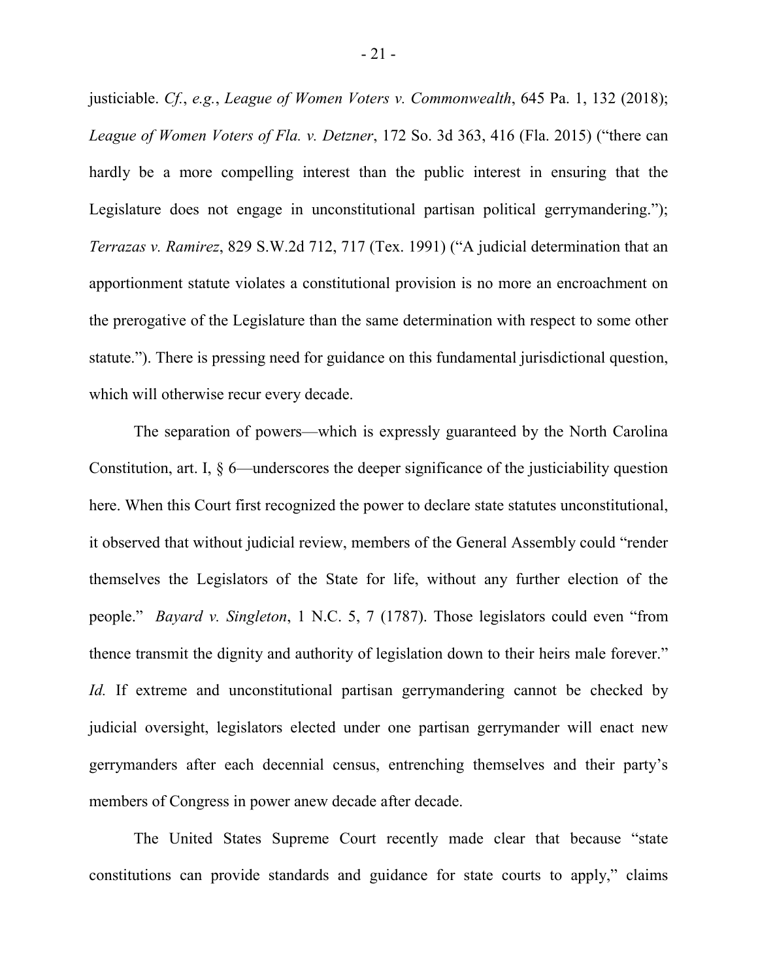justiciable. *Cf.*, *e.g.*, *League of Women Voters v. Commonwealth*, 645 Pa. 1, 132 (2018); *League of Women Voters of Fla. v. Detzner*, 172 So. 3d 363, 416 (Fla. 2015) ("there can hardly be a more compelling interest than the public interest in ensuring that the Legislature does not engage in unconstitutional partisan political gerrymandering."); *Terrazas v. Ramirez*, 829 S.W.2d 712, 717 (Tex. 1991) ("A judicial determination that an apportionment statute violates a constitutional provision is no more an encroachment on the prerogative of the Legislature than the same determination with respect to some other statute."). There is pressing need for guidance on this fundamental jurisdictional question, which will otherwise recur every decade.

The separation of powers—which is expressly guaranteed by the North Carolina Constitution, art. I, § 6—underscores the deeper significance of the justiciability question here. When this Court first recognized the power to declare state statutes unconstitutional, it observed that without judicial review, members of the General Assembly could "render themselves the Legislators of the State for life, without any further election of the people." *Bayard v. Singleton*, 1 N.C. 5, 7 (1787). Those legislators could even "from thence transmit the dignity and authority of legislation down to their heirs male forever." *Id.* If extreme and unconstitutional partisan gerrymandering cannot be checked by judicial oversight, legislators elected under one partisan gerrymander will enact new gerrymanders after each decennial census, entrenching themselves and their party's members of Congress in power anew decade after decade.

The United States Supreme Court recently made clear that because "state constitutions can provide standards and guidance for state courts to apply," claims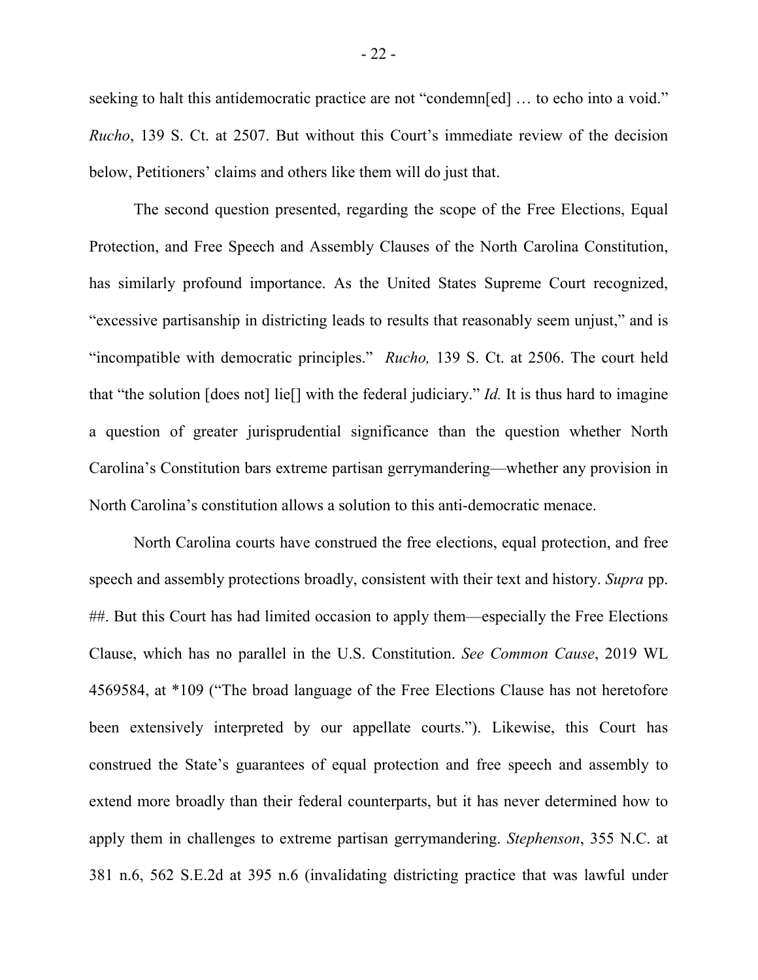seeking to halt this antidemocratic practice are not "condemn[ed] ... to echo into a void." *Rucho*, 139 S. Ct. at 2507. But without this Court's immediate review of the decision below, Petitioners' claims and others like them will do just that.

The second question presented, regarding the scope of the Free Elections, Equal Protection, and Free Speech and Assembly Clauses of the North Carolina Constitution, has similarly profound importance. As the United States Supreme Court recognized, "excessive partisanship in districting leads to results that reasonably seem unjust," and is "incompatible with democratic principles." *Rucho,* 139 S. Ct. at 2506. The court held that "the solution [does not] lie[] with the federal judiciary." *Id.* It is thus hard to imagine a question of greater jurisprudential significance than the question whether North Carolina's Constitution bars extreme partisan gerrymandering—whether any provision in North Carolina's constitution allows a solution to this anti-democratic menace.

North Carolina courts have construed the free elections, equal protection, and free speech and assembly protections broadly, consistent with their text and history. *Supra* pp. ##. But this Court has had limited occasion to apply them—especially the Free Elections Clause, which has no parallel in the U.S. Constitution. *See Common Cause*, 2019 WL 4569584, at \*109 ("The broad language of the Free Elections Clause has not heretofore been extensively interpreted by our appellate courts."). Likewise, this Court has construed the State's guarantees of equal protection and free speech and assembly to extend more broadly than their federal counterparts, but it has never determined how to apply them in challenges to extreme partisan gerrymandering. *Stephenson*, 355 N.C. at 381 n.6, 562 S.E.2d at 395 n.6 (invalidating districting practice that was lawful under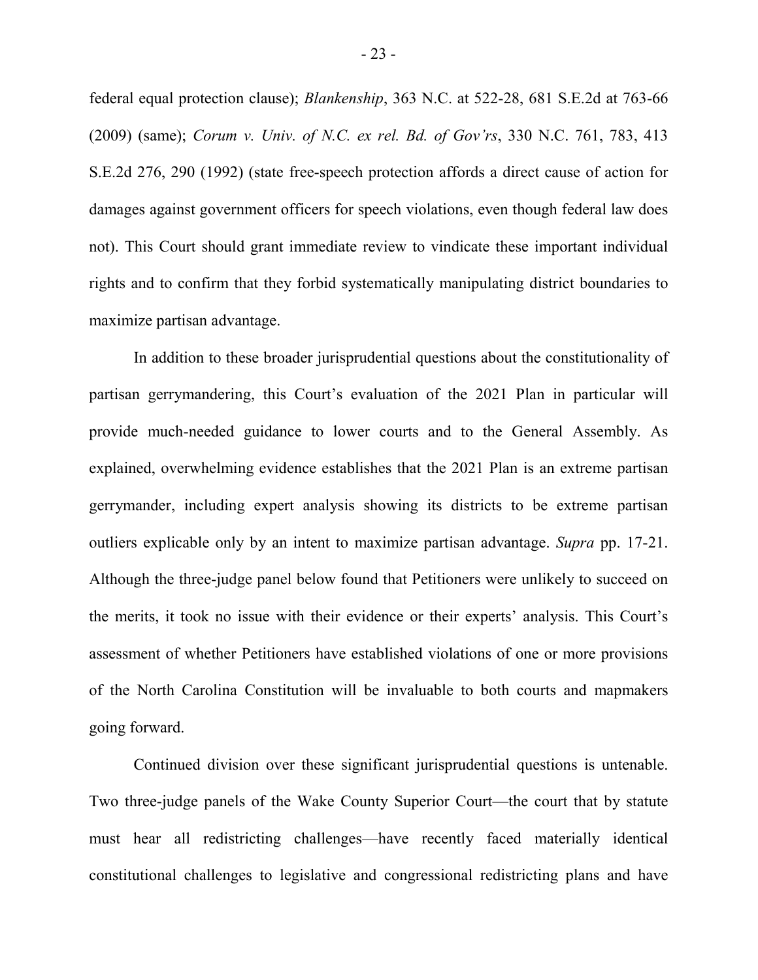federal equal protection clause); *Blankenship*, 363 N.C. at 522-28, 681 S.E.2d at 763-66 (2009) (same); *Corum v. Univ. of N.C. ex rel. Bd. of Gov'rs*, 330 N.C. 761, 783, 413 S.E.2d 276, 290 (1992) (state free-speech protection affords a direct cause of action for damages against government officers for speech violations, even though federal law does not). This Court should grant immediate review to vindicate these important individual rights and to confirm that they forbid systematically manipulating district boundaries to maximize partisan advantage.

In addition to these broader jurisprudential questions about the constitutionality of partisan gerrymandering, this Court's evaluation of the 2021 Plan in particular will provide much-needed guidance to lower courts and to the General Assembly. As explained, overwhelming evidence establishes that the 2021 Plan is an extreme partisan gerrymander, including expert analysis showing its districts to be extreme partisan outliers explicable only by an intent to maximize partisan advantage. *Supra* pp. 17-21. Although the three-judge panel below found that Petitioners were unlikely to succeed on the merits, it took no issue with their evidence or their experts' analysis. This Court's assessment of whether Petitioners have established violations of one or more provisions of the North Carolina Constitution will be invaluable to both courts and mapmakers going forward.

Continued division over these significant jurisprudential questions is untenable. Two three-judge panels of the Wake County Superior Court—the court that by statute must hear all redistricting challenges—have recently faced materially identical constitutional challenges to legislative and congressional redistricting plans and have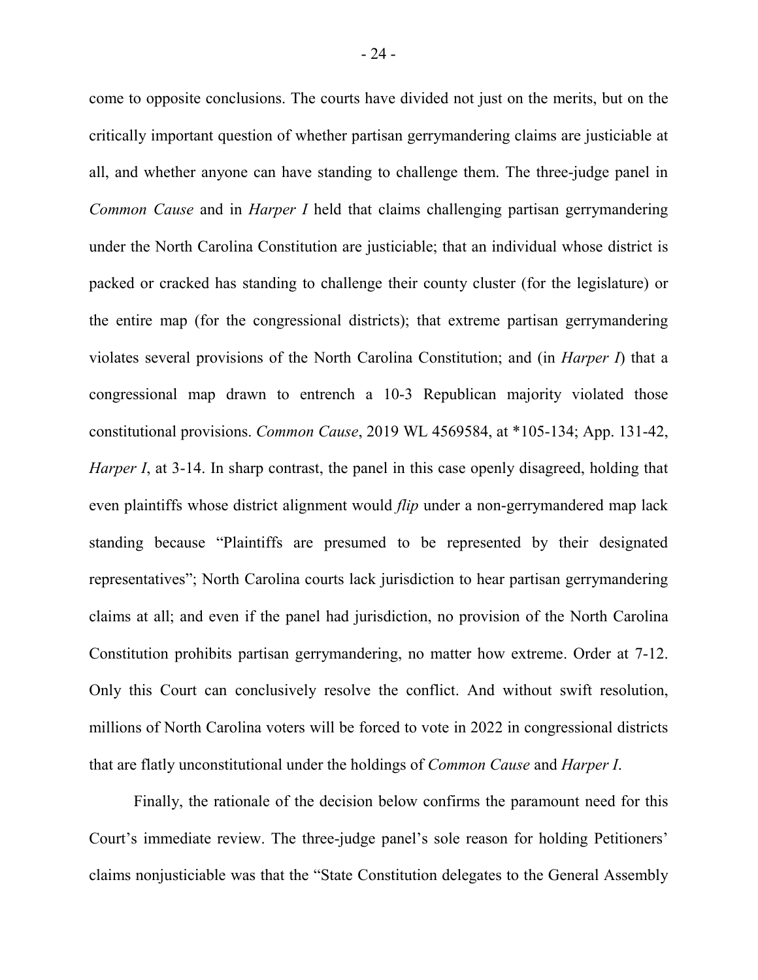come to opposite conclusions. The courts have divided not just on the merits, but on the critically important question of whether partisan gerrymandering claims are justiciable at all, and whether anyone can have standing to challenge them. The three-judge panel in *Common Cause* and in *Harper I* held that claims challenging partisan gerrymandering under the North Carolina Constitution are justiciable; that an individual whose district is packed or cracked has standing to challenge their county cluster (for the legislature) or the entire map (for the congressional districts); that extreme partisan gerrymandering violates several provisions of the North Carolina Constitution; and (in *Harper I*) that a congressional map drawn to entrench a 10-3 Republican majority violated those constitutional provisions. *Common Cause*, 2019 WL 4569584, at \*105-134; App. 131-42, *Harper I*, at 3-14. In sharp contrast, the panel in this case openly disagreed, holding that even plaintiffs whose district alignment would *flip* under a non-gerrymandered map lack standing because "Plaintiffs are presumed to be represented by their designated representatives"; North Carolina courts lack jurisdiction to hear partisan gerrymandering claims at all; and even if the panel had jurisdiction, no provision of the North Carolina Constitution prohibits partisan gerrymandering, no matter how extreme. Order at 7-12. Only this Court can conclusively resolve the conflict. And without swift resolution, millions of North Carolina voters will be forced to vote in 2022 in congressional districts that are flatly unconstitutional under the holdings of *Common Cause* and *Harper I*.

Finally, the rationale of the decision below confirms the paramount need for this Court's immediate review. The three-judge panel's sole reason for holding Petitioners' claims nonjusticiable was that the "State Constitution delegates to the General Assembly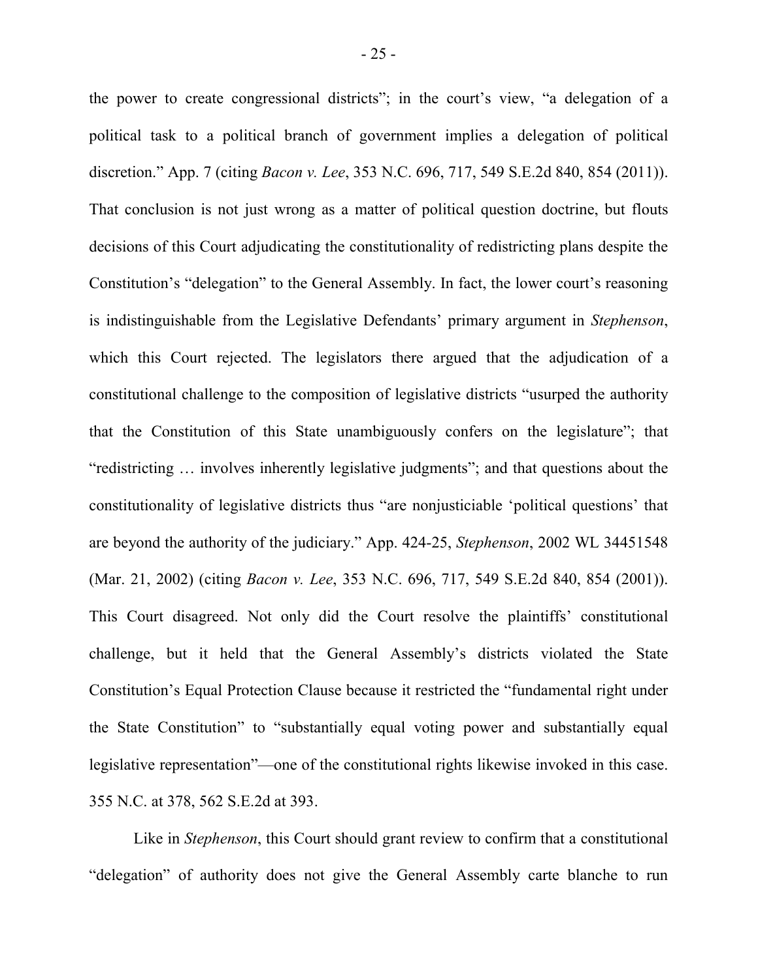the power to create congressional districts"; in the court's view, "a delegation of a political task to a political branch of government implies a delegation of political discretion." App. 7 (citing *Bacon v. Lee*, 353 N.C. 696, 717, 549 S.E.2d 840, 854 (2011)). That conclusion is not just wrong as a matter of political question doctrine, but flouts decisions of this Court adjudicating the constitutionality of redistricting plans despite the Constitution's "delegation" to the General Assembly. In fact, the lower court's reasoning is indistinguishable from the Legislative Defendants' primary argument in *Stephenson*, which this Court rejected. The legislators there argued that the adjudication of a constitutional challenge to the composition of legislative districts "usurped the authority that the Constitution of this State unambiguously confers on the legislature"; that "redistricting … involves inherently legislative judgments"; and that questions about the constitutionality of legislative districts thus "are nonjusticiable 'political questions' that are beyond the authority of the judiciary." App. 424-25, *Stephenson*, 2002 WL 34451548 (Mar. 21, 2002) (citing *Bacon v. Lee*, 353 N.C. 696, 717, 549 S.E.2d 840, 854 (2001)). This Court disagreed. Not only did the Court resolve the plaintiffs' constitutional challenge, but it held that the General Assembly's districts violated the State Constitution's Equal Protection Clause because it restricted the "fundamental right under the State Constitution" to "substantially equal voting power and substantially equal legislative representation"—one of the constitutional rights likewise invoked in this case. 355 N.C. at 378, 562 S.E.2d at 393.

Like in *Stephenson*, this Court should grant review to confirm that a constitutional "delegation" of authority does not give the General Assembly carte blanche to run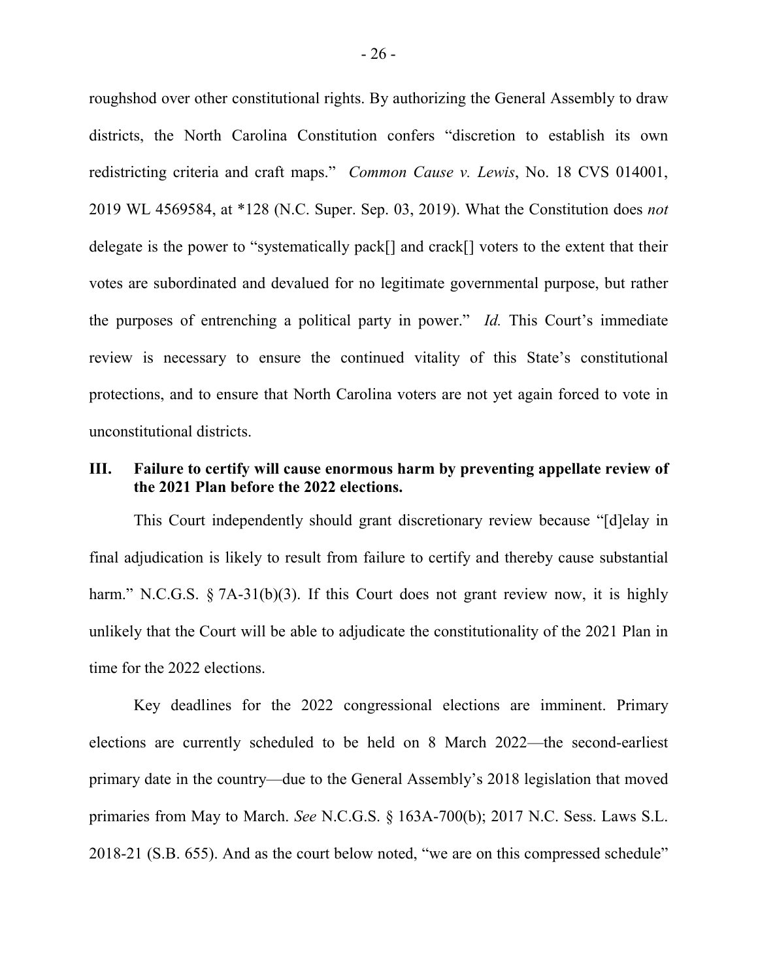roughshod over other constitutional rights. By authorizing the General Assembly to draw districts, the North Carolina Constitution confers "discretion to establish its own redistricting criteria and craft maps." *Common Cause v. Lewis*, No. 18 CVS 014001, 2019 WL 4569584, at \*128 (N.C. Super. Sep. 03, 2019). What the Constitution does *not* delegate is the power to "systematically pack[] and crack[] voters to the extent that their votes are subordinated and devalued for no legitimate governmental purpose, but rather the purposes of entrenching a political party in power." *Id.* This Court's immediate review is necessary to ensure the continued vitality of this State's constitutional protections, and to ensure that North Carolina voters are not yet again forced to vote in unconstitutional districts.

## **III. Failure to certify will cause enormous harm by preventing appellate review of the 2021 Plan before the 2022 elections.**

This Court independently should grant discretionary review because "[d]elay in final adjudication is likely to result from failure to certify and thereby cause substantial harm." N.C.G.S. § 7A-31(b)(3). If this Court does not grant review now, it is highly unlikely that the Court will be able to adjudicate the constitutionality of the 2021 Plan in time for the 2022 elections.

Key deadlines for the 2022 congressional elections are imminent. Primary elections are currently scheduled to be held on 8 March 2022—the second-earliest primary date in the country—due to the General Assembly's 2018 legislation that moved primaries from May to March. *See* N.C.G.S. § 163A-700(b); 2017 N.C. Sess. Laws S.L. 2018-21 (S.B. 655). And as the court below noted, "we are on this compressed schedule"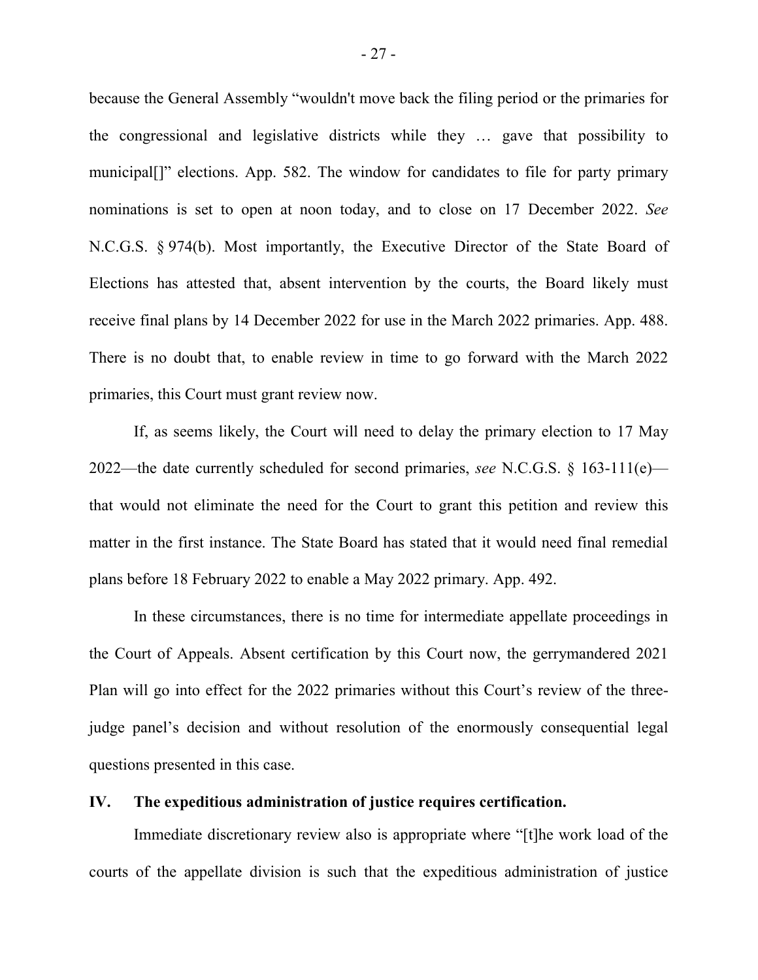because the General Assembly "wouldn't move back the filing period or the primaries for the congressional and legislative districts while they … gave that possibility to municipal[]" elections. App. 582. The window for candidates to file for party primary nominations is set to open at noon today, and to close on 17 December 2022. *See*  N.C.G.S. § 974(b). Most importantly, the Executive Director of the State Board of Elections has attested that, absent intervention by the courts, the Board likely must receive final plans by 14 December 2022 for use in the March 2022 primaries. App. 488. There is no doubt that, to enable review in time to go forward with the March 2022 primaries, this Court must grant review now.

If, as seems likely, the Court will need to delay the primary election to 17 May 2022—the date currently scheduled for second primaries, *see* N.C.G.S. § 163-111(e) that would not eliminate the need for the Court to grant this petition and review this matter in the first instance. The State Board has stated that it would need final remedial plans before 18 February 2022 to enable a May 2022 primary. App. 492.

In these circumstances, there is no time for intermediate appellate proceedings in the Court of Appeals. Absent certification by this Court now, the gerrymandered 2021 Plan will go into effect for the 2022 primaries without this Court's review of the threejudge panel's decision and without resolution of the enormously consequential legal questions presented in this case.

#### **IV. The expeditious administration of justice requires certification.**

Immediate discretionary review also is appropriate where "[t]he work load of the courts of the appellate division is such that the expeditious administration of justice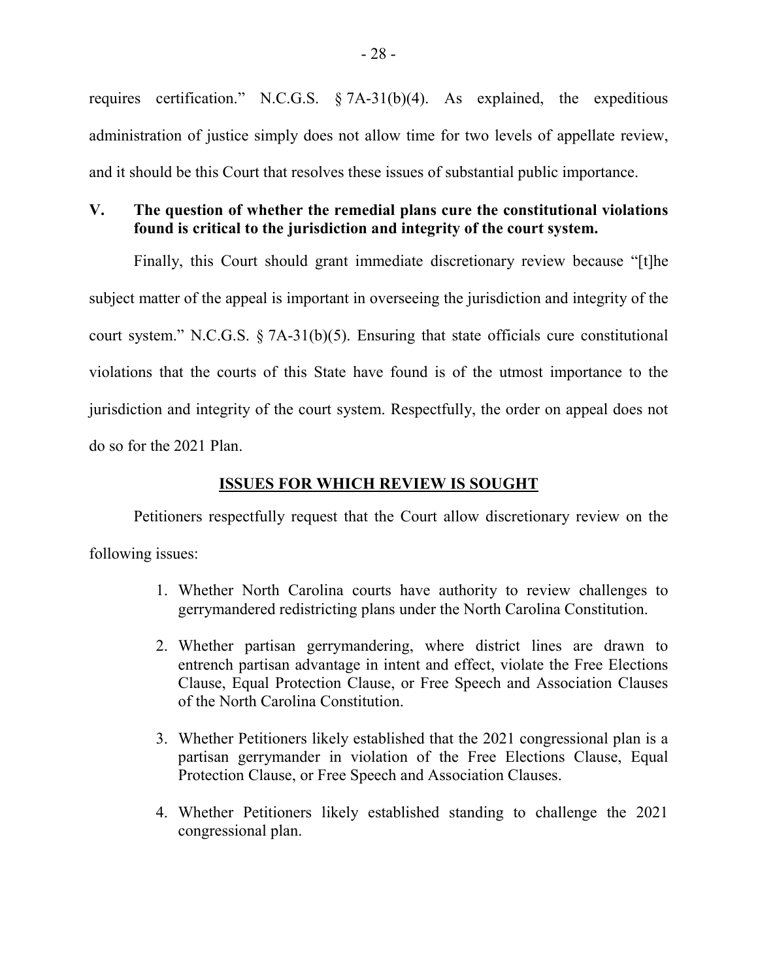requires certification." N.C.G.S. § 7A-31(b)(4). As explained, the expeditious administration of justice simply does not allow time for two levels of appellate review, and it should be this Court that resolves these issues of substantial public importance.

# **V. The question of whether the remedial plans cure the constitutional violations found is critical to the jurisdiction and integrity of the court system.**

Finally, this Court should grant immediate discretionary review because "[t]he subject matter of the appeal is important in overseeing the jurisdiction and integrity of the court system." N.C.G.S. § 7A-31(b)(5). Ensuring that state officials cure constitutional violations that the courts of this State have found is of the utmost importance to the jurisdiction and integrity of the court system. Respectfully, the order on appeal does not do so for the 2021 Plan.

#### **ISSUES FOR WHICH REVIEW IS SOUGHT**

Petitioners respectfully request that the Court allow discretionary review on the following issues:

- 1. Whether North Carolina courts have authority to review challenges to gerrymandered redistricting plans under the North Carolina Constitution.
- 2. Whether partisan gerrymandering, where district lines are drawn to entrench partisan advantage in intent and effect, violate the Free Elections Clause, Equal Protection Clause, or Free Speech and Association Clauses of the North Carolina Constitution.
- 3. Whether Petitioners likely established that the 2021 congressional plan is a partisan gerrymander in violation of the Free Elections Clause, Equal Protection Clause, or Free Speech and Association Clauses.
- 4. Whether Petitioners likely established standing to challenge the 2021 congressional plan.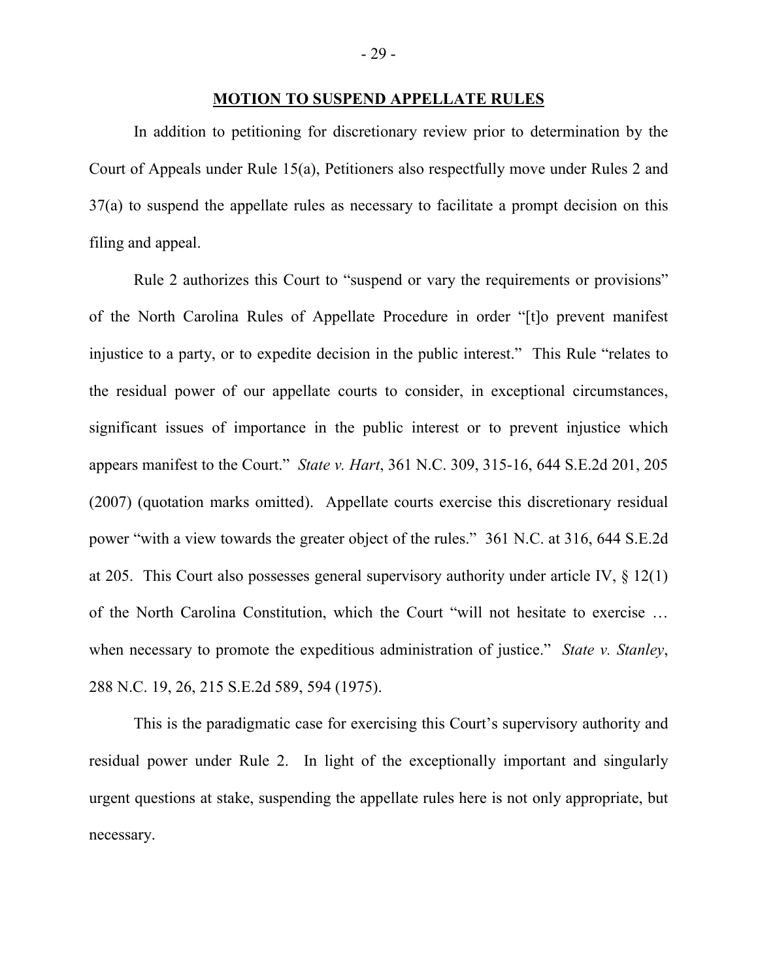#### **MOTION TO SUSPEND APPELLATE RULES**

In addition to petitioning for discretionary review prior to determination by the Court of Appeals under Rule 15(a), Petitioners also respectfully move under Rules 2 and 37(a) to suspend the appellate rules as necessary to facilitate a prompt decision on this filing and appeal.

Rule 2 authorizes this Court to "suspend or vary the requirements or provisions" of the North Carolina Rules of Appellate Procedure in order "[t]o prevent manifest injustice to a party, or to expedite decision in the public interest." This Rule "relates to the residual power of our appellate courts to consider, in exceptional circumstances, significant issues of importance in the public interest or to prevent injustice which appears manifest to the Court." *State v. Hart*, 361 N.C. 309, 315-16, 644 S.E.2d 201, 205 (2007) (quotation marks omitted). Appellate courts exercise this discretionary residual power "with a view towards the greater object of the rules." 361 N.C. at 316, 644 S.E.2d at 205. This Court also possesses general supervisory authority under article IV, § 12(1) of the North Carolina Constitution, which the Court "will not hesitate to exercise … when necessary to promote the expeditious administration of justice." *State v. Stanley*, 288 N.C. 19, 26, 215 S.E.2d 589, 594 (1975).

This is the paradigmatic case for exercising this Court's supervisory authority and residual power under Rule 2. In light of the exceptionally important and singularly urgent questions at stake, suspending the appellate rules here is not only appropriate, but necessary.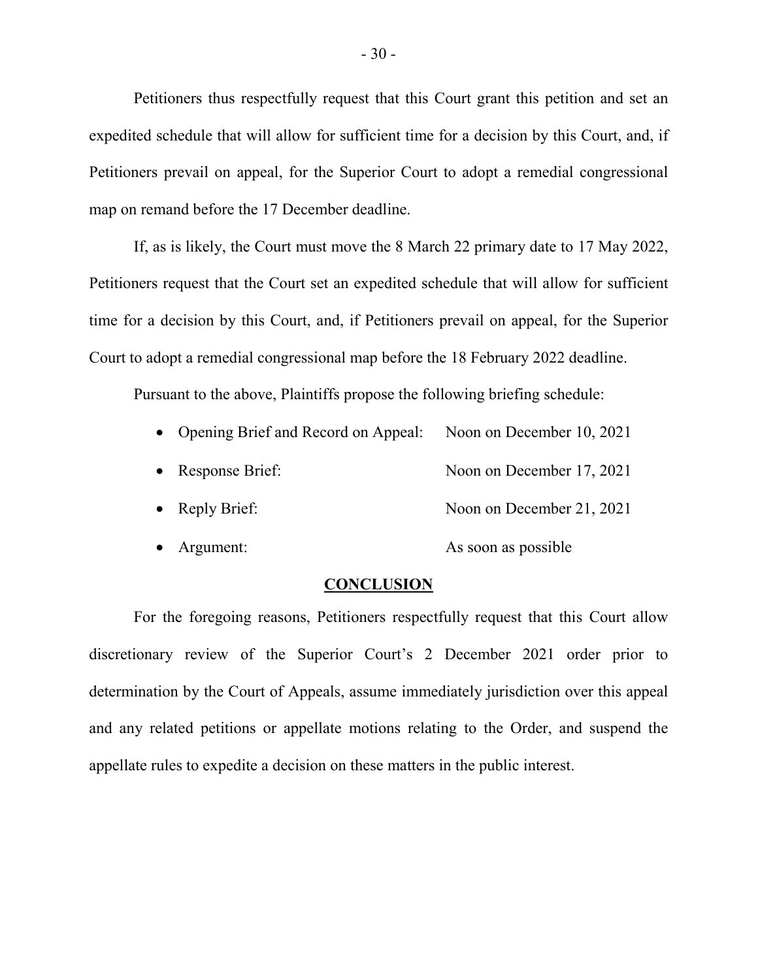Petitioners thus respectfully request that this Court grant this petition and set an expedited schedule that will allow for sufficient time for a decision by this Court, and, if Petitioners prevail on appeal, for the Superior Court to adopt a remedial congressional map on remand before the 17 December deadline.

If, as is likely, the Court must move the 8 March 22 primary date to 17 May 2022, Petitioners request that the Court set an expedited schedule that will allow for sufficient time for a decision by this Court, and, if Petitioners prevail on appeal, for the Superior Court to adopt a remedial congressional map before the 18 February 2022 deadline.

Pursuant to the above, Plaintiffs propose the following briefing schedule:

| • Opening Brief and Record on Appeal: | Noon on December 10, 2021 |
|---------------------------------------|---------------------------|
| • Response Brief:                     | Noon on December 17, 2021 |
| • Reply Brief:                        | Noon on December 21, 2021 |
| Argument:                             | As soon as possible       |

#### **CONCLUSION**

For the foregoing reasons, Petitioners respectfully request that this Court allow discretionary review of the Superior Court's 2 December 2021 order prior to determination by the Court of Appeals, assume immediately jurisdiction over this appeal and any related petitions or appellate motions relating to the Order, and suspend the appellate rules to expedite a decision on these matters in the public interest.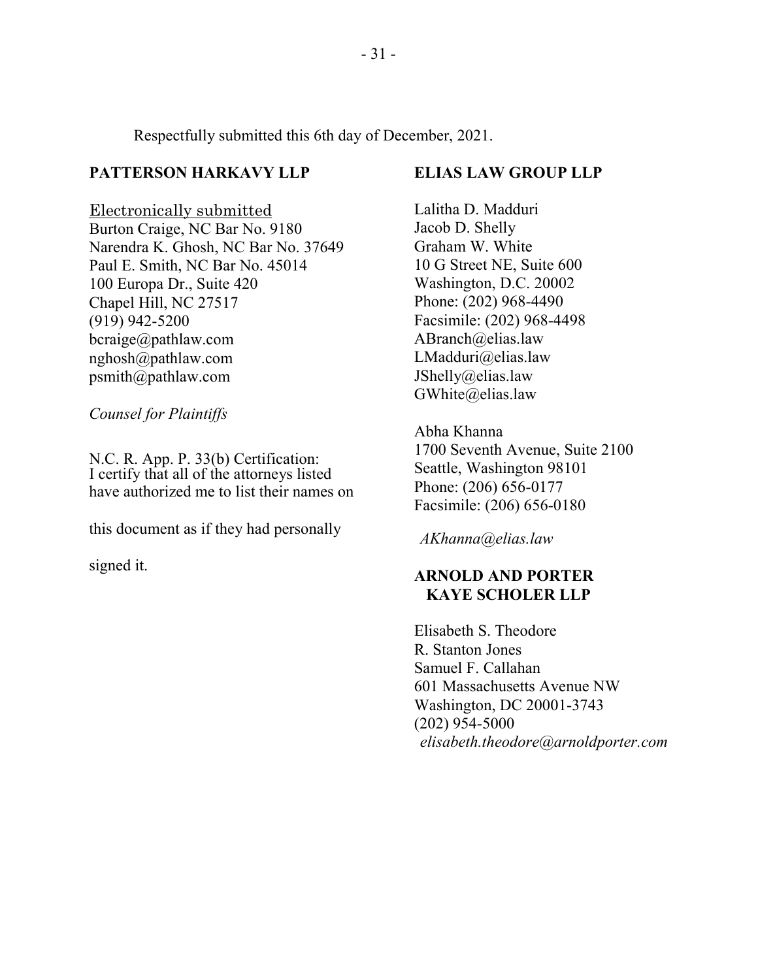Respectfully submitted this 6th day of December, 2021.

# **PATTERSON HARKAVY LLP**

Electronically submitted Burton Craige, NC Bar No. 9180 Narendra K. Ghosh, NC Bar No. 37649 Paul E. Smith, NC Bar No. 45014 100 Europa Dr., Suite 420 Chapel Hill, NC 27517 (919) 942-5200 bcraige@pathlaw.com nghosh@pathlaw.com psmith@pathlaw.com

*Counsel for Plaintiffs*

N.C. R. App. P. 33(b) Certification: I certify that all of the attorneys listed have authorized me to list their names on

this document as if they had personally

signed it.

## **ELIAS LAW GROUP LLP**

Lalitha D. Madduri Jacob D. Shelly Graham W. White 10 G Street NE, Suite 600 Washington, D.C. 20002 Phone: (202) 968-4490 Facsimile: (202) 968-4498 ABranch@elias.law LMadduri@elias.law JShelly@elias.law GWhite@elias.law

Abha Khanna 1700 Seventh Avenue, Suite 2100 Seattle, Washington 98101 Phone: (206) 656-0177 Facsimile: (206) 656-0180

*AKhanna@elias.law*

# **ARNOLD AND PORTER KAYE SCHOLER LLP**

Elisabeth S. Theodore R. Stanton Jones Samuel F. Callahan 601 Massachusetts Avenue NW Washington, DC 20001-3743 (202) 954-5000 *elisabeth.theodore@arnoldporter.com*